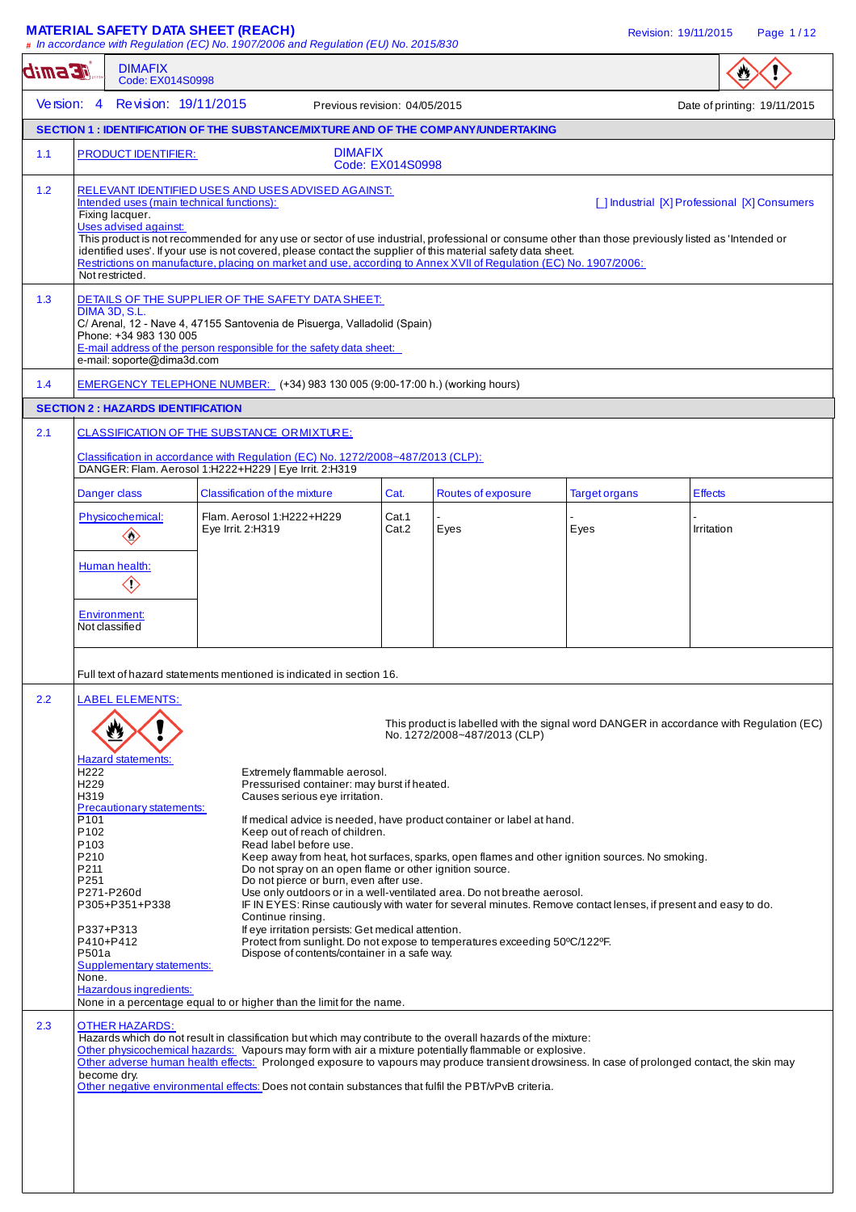## **MATERIAL SAFETY DATA SHEET (REACH) Revision: 19/11/2015** Page 1/12

|               |                                                                                                                                                                                                                                                                                                                                                                                                                                                                                                                                                                                                              | # In accordance with Regulation (EC) No. 1907/2006 and Regulation (EU) No. 2015/830                                                                                                                                                                                                                                                                                                                                                                                                                                                                                                                                                                                                                                                                                                                                                                                                                                                                                                                                                                                                                                                                                                                                                                                                                                                                                                                                          |                  |                              |                      |                                                                                         |  |
|---------------|--------------------------------------------------------------------------------------------------------------------------------------------------------------------------------------------------------------------------------------------------------------------------------------------------------------------------------------------------------------------------------------------------------------------------------------------------------------------------------------------------------------------------------------------------------------------------------------------------------------|------------------------------------------------------------------------------------------------------------------------------------------------------------------------------------------------------------------------------------------------------------------------------------------------------------------------------------------------------------------------------------------------------------------------------------------------------------------------------------------------------------------------------------------------------------------------------------------------------------------------------------------------------------------------------------------------------------------------------------------------------------------------------------------------------------------------------------------------------------------------------------------------------------------------------------------------------------------------------------------------------------------------------------------------------------------------------------------------------------------------------------------------------------------------------------------------------------------------------------------------------------------------------------------------------------------------------------------------------------------------------------------------------------------------------|------------------|------------------------------|----------------------|-----------------------------------------------------------------------------------------|--|
| <b>ACEMID</b> | <b>DIMAFIX</b><br>Code: EX014S0998                                                                                                                                                                                                                                                                                                                                                                                                                                                                                                                                                                           |                                                                                                                                                                                                                                                                                                                                                                                                                                                                                                                                                                                                                                                                                                                                                                                                                                                                                                                                                                                                                                                                                                                                                                                                                                                                                                                                                                                                                              |                  |                              |                      |                                                                                         |  |
| Version: $4$  |                                                                                                                                                                                                                                                                                                                                                                                                                                                                                                                                                                                                              | Revision: 19/11/2015<br>Previous revision: 04/05/2015                                                                                                                                                                                                                                                                                                                                                                                                                                                                                                                                                                                                                                                                                                                                                                                                                                                                                                                                                                                                                                                                                                                                                                                                                                                                                                                                                                        |                  |                              |                      | Date of printing: 19/11/2015                                                            |  |
|               |                                                                                                                                                                                                                                                                                                                                                                                                                                                                                                                                                                                                              | SECTION 1: IDENTIFICATION OF THE SUBSTANCE/MIXTURE AND OF THE COMPANY/UNDERTAKING                                                                                                                                                                                                                                                                                                                                                                                                                                                                                                                                                                                                                                                                                                                                                                                                                                                                                                                                                                                                                                                                                                                                                                                                                                                                                                                                            |                  |                              |                      |                                                                                         |  |
| 1.1           | <b>PRODUCT IDENTIFIER:</b>                                                                                                                                                                                                                                                                                                                                                                                                                                                                                                                                                                                   | <b>DIMAFIX</b>                                                                                                                                                                                                                                                                                                                                                                                                                                                                                                                                                                                                                                                                                                                                                                                                                                                                                                                                                                                                                                                                                                                                                                                                                                                                                                                                                                                                               | Code: EX014S0998 |                              |                      |                                                                                         |  |
| 1.2           | RELEVANT IDENTIFIED USES AND USES ADVISED AGAINST:<br>Intended uses (main technical functions):<br>[ ] Industrial [X] Professional [X] Consumers<br>Fixing lacquer.<br>Uses advised against:<br>This product is not recommended for any use or sector of use industrial, professional or consume other than those previously listed as 'Intended or<br>identified uses'. If your use is not covered, please contact the supplier of this material safety data sheet.<br>Restrictions on manufacture, placing on market and use, according to Annex XVII of Regulation (EC) No. 1907/2006:<br>Not restricted. |                                                                                                                                                                                                                                                                                                                                                                                                                                                                                                                                                                                                                                                                                                                                                                                                                                                                                                                                                                                                                                                                                                                                                                                                                                                                                                                                                                                                                              |                  |                              |                      |                                                                                         |  |
| 1.3           | DETAILS OF THE SUPPLIER OF THE SAFETY DATA SHEET:<br>DIMA 3D, S.L.<br>C/ Arenal, 12 - Nave 4, 47155 Santovenia de Pisuerga, Valladolid (Spain)<br>Phone: +34 983 130 005<br>E-mail address of the person responsible for the safety data sheet:<br>e-mail: soporte@dima3d.com                                                                                                                                                                                                                                                                                                                                |                                                                                                                                                                                                                                                                                                                                                                                                                                                                                                                                                                                                                                                                                                                                                                                                                                                                                                                                                                                                                                                                                                                                                                                                                                                                                                                                                                                                                              |                  |                              |                      |                                                                                         |  |
| 1.4           |                                                                                                                                                                                                                                                                                                                                                                                                                                                                                                                                                                                                              | EMERGENCY TELEPHONE NUMBER: (+34) 983 130 005 (9:00-17:00 h.) (working hours)                                                                                                                                                                                                                                                                                                                                                                                                                                                                                                                                                                                                                                                                                                                                                                                                                                                                                                                                                                                                                                                                                                                                                                                                                                                                                                                                                |                  |                              |                      |                                                                                         |  |
|               | <b>SECTION 2: HAZARDS IDENTIFICATION</b>                                                                                                                                                                                                                                                                                                                                                                                                                                                                                                                                                                     |                                                                                                                                                                                                                                                                                                                                                                                                                                                                                                                                                                                                                                                                                                                                                                                                                                                                                                                                                                                                                                                                                                                                                                                                                                                                                                                                                                                                                              |                  |                              |                      |                                                                                         |  |
| 2.1           |                                                                                                                                                                                                                                                                                                                                                                                                                                                                                                                                                                                                              | CLASSIFICATION OF THE SUBSTANCE ORMIXTURE:                                                                                                                                                                                                                                                                                                                                                                                                                                                                                                                                                                                                                                                                                                                                                                                                                                                                                                                                                                                                                                                                                                                                                                                                                                                                                                                                                                                   |                  |                              |                      |                                                                                         |  |
|               |                                                                                                                                                                                                                                                                                                                                                                                                                                                                                                                                                                                                              | Classification in accordance with Regulation (EC) No. 1272/2008~487/2013 (CLP):<br>DANGER: Flam. Aerosol 1:H222+H229   Eye Irrit. 2:H319                                                                                                                                                                                                                                                                                                                                                                                                                                                                                                                                                                                                                                                                                                                                                                                                                                                                                                                                                                                                                                                                                                                                                                                                                                                                                     |                  |                              |                      |                                                                                         |  |
|               | Danger class                                                                                                                                                                                                                                                                                                                                                                                                                                                                                                                                                                                                 | Classification of the mixture                                                                                                                                                                                                                                                                                                                                                                                                                                                                                                                                                                                                                                                                                                                                                                                                                                                                                                                                                                                                                                                                                                                                                                                                                                                                                                                                                                                                | Cat.             | Routes of exposure           | <b>Target organs</b> | <b>Effects</b>                                                                          |  |
|               | Physicochemical:<br>$\diamondsuit$                                                                                                                                                                                                                                                                                                                                                                                                                                                                                                                                                                           | Flam. Aerosol 1:H222+H229<br>Eye Irrit. 2:H319                                                                                                                                                                                                                                                                                                                                                                                                                                                                                                                                                                                                                                                                                                                                                                                                                                                                                                                                                                                                                                                                                                                                                                                                                                                                                                                                                                               | Cat.1<br>Cat.2   | Eyes                         | Eyes                 | Irritation                                                                              |  |
|               | Human health:<br>$\diamondsuit$                                                                                                                                                                                                                                                                                                                                                                                                                                                                                                                                                                              |                                                                                                                                                                                                                                                                                                                                                                                                                                                                                                                                                                                                                                                                                                                                                                                                                                                                                                                                                                                                                                                                                                                                                                                                                                                                                                                                                                                                                              |                  |                              |                      |                                                                                         |  |
|               | <b>Environment:</b><br>Not classified                                                                                                                                                                                                                                                                                                                                                                                                                                                                                                                                                                        |                                                                                                                                                                                                                                                                                                                                                                                                                                                                                                                                                                                                                                                                                                                                                                                                                                                                                                                                                                                                                                                                                                                                                                                                                                                                                                                                                                                                                              |                  |                              |                      |                                                                                         |  |
| 2.2<br>2.3    | LABEL ELEMENTS:<br><b>Hazard statements:</b><br>H <sub>222</sub><br>H <sub>229</sub><br>H319<br>Precautionary statements:<br>P <sub>101</sub><br>P102<br>P <sub>103</sub><br>P210<br>P211<br>P251<br>P271-P260d<br>P305+P351+P338<br>P337+P313<br>P410+P412<br>P501a<br>Supplementary statements:<br>None.<br>Hazardous ingredients:<br><b>OTHER HAZARDS:</b><br>become dry.                                                                                                                                                                                                                                 | Extremely flammable aerosol.<br>Pressurised container: may burst if heated.<br>Causes serious eye irritation.<br>If medical advice is needed, have product container or label at hand.<br>Keep out of reach of children.<br>Read label before use.<br>Keep away from heat, hot surfaces, sparks, open flames and other ignition sources. No smoking.<br>Do not spray on an open flame or other ignition source.<br>Do not pierce or burn, even after use.<br>Use only outdoors or in a well-ventilated area. Do not breathe aerosol.<br>IF IN EYES: Rinse cautiously with water for several minutes. Remove contact lenses, if present and easy to do.<br>Continue rinsing.<br>If eye irritation persists: Get medical attention.<br>Protect from sunlight. Do not expose to temperatures exceeding 50°C/122°F.<br>Dispose of contents/container in a safe way.<br>None in a percentage equal to or higher than the limit for the name.<br>Hazards which do not result in classification but which may contribute to the overall hazards of the mixture:<br>Other physicochemical hazards: Vapours may form with air a mixture potentially flammable or explosive.<br>Other adverse human health effects: Prolonged exposure to vapours may produce transient drowsiness. In case of prolonged contact, the skin may<br>Other negative environmental effects: Does not contain substances that fulfil the PBT/vPvB criteria. |                  | No. 1272/2008~487/2013 (CLP) |                      | This product is labelled with the signal word DANGER in accordance with Regulation (EC) |  |
|               |                                                                                                                                                                                                                                                                                                                                                                                                                                                                                                                                                                                                              |                                                                                                                                                                                                                                                                                                                                                                                                                                                                                                                                                                                                                                                                                                                                                                                                                                                                                                                                                                                                                                                                                                                                                                                                                                                                                                                                                                                                                              |                  |                              |                      |                                                                                         |  |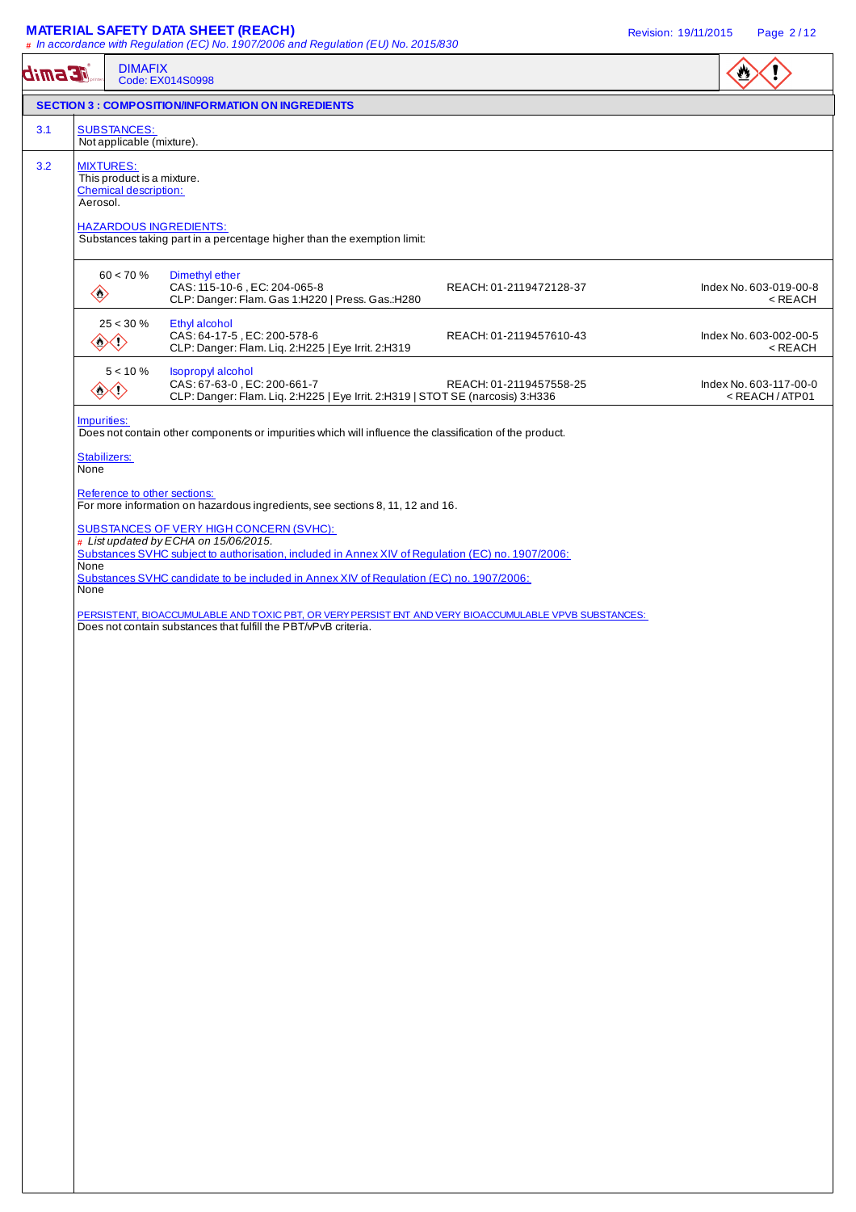### **MATERIAL SAFETY DATA SHEET (REACH)** Revision: 19/11/2015 Page 2 / 12

| <b>AE Smib</b> |                             | <b>DIMAFIX</b>                                                                 | Code: EX014S0998                                                                                                                                                                                                                                                                        |                         |                                                           |
|----------------|-----------------------------|--------------------------------------------------------------------------------|-----------------------------------------------------------------------------------------------------------------------------------------------------------------------------------------------------------------------------------------------------------------------------------------|-------------------------|-----------------------------------------------------------|
|                |                             |                                                                                | <b>SECTION 3 : COMPOSITION/INFORMATION ON INGREDIENTS</b>                                                                                                                                                                                                                               |                         |                                                           |
| 3.1            |                             | <b>SUBSTANCES:</b><br>Not applicable (mixture).                                |                                                                                                                                                                                                                                                                                         |                         |                                                           |
| 3.2            | Aerosol.                    | <b>MIXTURES:</b><br>This product is a mixture.<br><b>Chemical description:</b> | <b>HAZARDOUS INGREDIENTS:</b><br>Substances taking part in a percentage higher than the exemption limit:                                                                                                                                                                                |                         |                                                           |
|                | $\diamondsuit$              | $60 < 70 \%$                                                                   | Dimethyl ether<br>CAS: 115-10-6, EC: 204-065-8<br>CLP: Danger: Flam. Gas 1:H220   Press. Gas.:H280                                                                                                                                                                                      | REACH: 01-2119472128-37 | Index No. 603-019-00-8<br>$<$ REACH                       |
|                |                             | $25 < 30 \%$<br>◈                                                              | Ethyl alcohol<br>CAS: 64-17-5, EC: 200-578-6<br>CLP: Danger: Flam. Liq. 2:H225   Eye Irrit. 2:H319                                                                                                                                                                                      | REACH: 01-2119457610-43 | Index No. 603-002-00-5<br>$<\sf REACH$                    |
|                |                             | $5 < 10 \%$<br>◇◇◇                                                             | Isopropyl alcohol<br>CAS: 67-63-0, EC: 200-661-7<br>CLP: Danger: Flam. Liq. 2:H225   Eye Irrit. 2:H319   STOT SE (narcosis) 3:H336                                                                                                                                                      | REACH: 01-2119457558-25 | Index No. 603-117-00-0<br><reach atp01<="" td=""></reach> |
|                | Impurities:<br>Stabilizers: |                                                                                | Does not contain other components or impurities which will influence the classification of the product.                                                                                                                                                                                 |                         |                                                           |
|                | None                        | Reference to other sections:                                                   | For more information on hazardous ingredients, see sections 8, 11, 12 and 16.                                                                                                                                                                                                           |                         |                                                           |
|                | None<br>None                |                                                                                | <b>SUBSTANCES OF VERY HIGH CONCERN (SVHC):</b><br># List updated by ECHA on 15/06/2015.<br>Substances SVHC subject to authorisation, included in Annex XIV of Regulation (EC) no. 1907/2006:<br>Substances SVHC candidate to be included in Annex XIV of Regulation (EC) no. 1907/2006: |                         |                                                           |
|                |                             |                                                                                | PERSISTENT, BIOACCUMULABLE AND TOXIC PBT, OR VERY PERSIST ENT AND VERY BIOACCUMULABLE VPVB SUBSTANCES:<br>Does not contain substances that fulfill the PBT/vPvB criteria.                                                                                                               |                         |                                                           |
|                |                             |                                                                                |                                                                                                                                                                                                                                                                                         |                         |                                                           |
|                |                             |                                                                                |                                                                                                                                                                                                                                                                                         |                         |                                                           |
|                |                             |                                                                                |                                                                                                                                                                                                                                                                                         |                         |                                                           |
|                |                             |                                                                                |                                                                                                                                                                                                                                                                                         |                         |                                                           |
|                |                             |                                                                                |                                                                                                                                                                                                                                                                                         |                         |                                                           |
|                |                             |                                                                                |                                                                                                                                                                                                                                                                                         |                         |                                                           |
|                |                             |                                                                                |                                                                                                                                                                                                                                                                                         |                         |                                                           |
|                |                             |                                                                                |                                                                                                                                                                                                                                                                                         |                         |                                                           |
|                |                             |                                                                                |                                                                                                                                                                                                                                                                                         |                         |                                                           |
|                |                             |                                                                                |                                                                                                                                                                                                                                                                                         |                         |                                                           |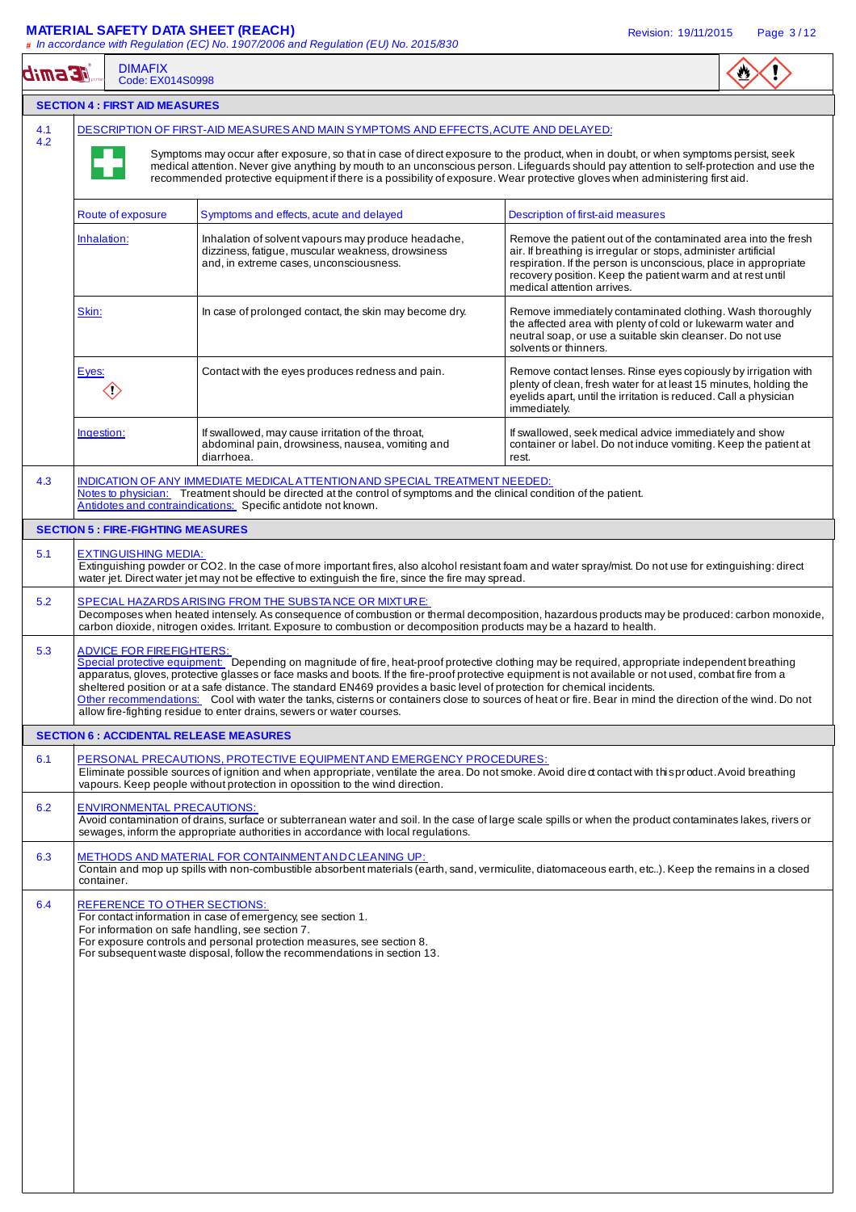### **MATERIAL SAFETY DATA SHEET (REACH)** Revision: 19/11/2015 Page 3 / 12

**#** In accordance with Regulation (EC) No. 1907/2006 and Regulation (EU) No. 2015/830

| <b>JE smib</b> | <b>DIMAFIX</b><br>Code: EX014S0998                                                                                                                                                                                                                                                                                                                                                                                                                                                                     | # In accordance with Regulation (EC) No. 1907/2006 and Regulation (EU) No. 2015/830                                                                                                                                                                                                                                                                          |                                                                                                                                                                                                                                                                                                              |  |  |  |  |
|----------------|--------------------------------------------------------------------------------------------------------------------------------------------------------------------------------------------------------------------------------------------------------------------------------------------------------------------------------------------------------------------------------------------------------------------------------------------------------------------------------------------------------|--------------------------------------------------------------------------------------------------------------------------------------------------------------------------------------------------------------------------------------------------------------------------------------------------------------------------------------------------------------|--------------------------------------------------------------------------------------------------------------------------------------------------------------------------------------------------------------------------------------------------------------------------------------------------------------|--|--|--|--|
|                | <b>SECTION 4 : FIRST AID MEASURES</b>                                                                                                                                                                                                                                                                                                                                                                                                                                                                  |                                                                                                                                                                                                                                                                                                                                                              |                                                                                                                                                                                                                                                                                                              |  |  |  |  |
| 4.1<br>4.2     | DESCRIPTION OF FIRST-AID MEASURES AND MAIN SYMPTOMS AND EFFECTS, ACUTE AND DELAYED:<br>Symptoms may occur after exposure, so that in case of direct exposure to the product, when in doubt, or when symptoms persist, seek<br>medical attention. Never give anything by mouth to an unconscious person. Lifeguards should pay attention to self-protection and use the<br>recommended protective equipment if there is a possibility of exposure. Wear protective gloves when administering first aid. |                                                                                                                                                                                                                                                                                                                                                              |                                                                                                                                                                                                                                                                                                              |  |  |  |  |
|                | Route of exposure                                                                                                                                                                                                                                                                                                                                                                                                                                                                                      | Symptoms and effects, acute and delayed                                                                                                                                                                                                                                                                                                                      | Description of first-aid measures                                                                                                                                                                                                                                                                            |  |  |  |  |
|                | Inhalation:                                                                                                                                                                                                                                                                                                                                                                                                                                                                                            | Inhalation of solvent vapours may produce headache,<br>dizziness, fatigue, muscular weakness, drowsiness<br>and, in extreme cases, unconsciousness.                                                                                                                                                                                                          | Remove the patient out of the contaminated area into the fresh<br>air. If breathing is irregular or stops, administer artificial<br>respiration. If the person is unconscious, place in appropriate<br>recovery position. Keep the patient warm and at rest until<br>medical attention arrives.              |  |  |  |  |
|                | Skin:                                                                                                                                                                                                                                                                                                                                                                                                                                                                                                  | In case of prolonged contact, the skin may become dry.                                                                                                                                                                                                                                                                                                       | Remove immediately contaminated clothing. Wash thoroughly<br>the affected area with plenty of cold or lukewarm water and<br>neutral soap, or use a suitable skin cleanser. Do not use<br>solvents or thinners.                                                                                               |  |  |  |  |
|                | Eyes:<br>$\langle \!\! \downarrow \rangle$                                                                                                                                                                                                                                                                                                                                                                                                                                                             | Contact with the eyes produces redness and pain.                                                                                                                                                                                                                                                                                                             | Remove contact lenses. Rinse eyes copiously by irrigation with<br>plenty of clean, fresh water for at least 15 minutes, holding the<br>eyelids apart, until the irritation is reduced. Call a physician<br>immediately.                                                                                      |  |  |  |  |
|                | Ingestion:                                                                                                                                                                                                                                                                                                                                                                                                                                                                                             | If swallowed, may cause irritation of the throat,<br>abdominal pain, drowsiness, nausea, vomiting and<br>diarrhoea.                                                                                                                                                                                                                                          | If swallowed, seek medical advice immediately and show<br>container or label. Do not induce vomiting. Keep the patient at<br>rest.                                                                                                                                                                           |  |  |  |  |
| 4.3            |                                                                                                                                                                                                                                                                                                                                                                                                                                                                                                        | INDICATION OF ANY IMMEDIATE MEDICAL ATTENTION AND SPECIAL TREATMENT NEEDED:<br>Notes to physician: Treatment should be directed at the control of symptoms and the clinical condition of the patient.<br>Antidotes and contraindications: Specific antidote not known.                                                                                       |                                                                                                                                                                                                                                                                                                              |  |  |  |  |
|                | <b>SECTION 5 : FIRE-FIGHTING MEASURES</b>                                                                                                                                                                                                                                                                                                                                                                                                                                                              |                                                                                                                                                                                                                                                                                                                                                              |                                                                                                                                                                                                                                                                                                              |  |  |  |  |
| 5.1            | <b>EXTINGUISHING MEDIA:</b>                                                                                                                                                                                                                                                                                                                                                                                                                                                                            | water jet. Direct water jet may not be effective to extinguish the fire, since the fire may spread.                                                                                                                                                                                                                                                          | Extinguishing powder or CO2. In the case of more important fires, also alcohol resistant foam and water spray/mist. Do not use for extinguishing: direct                                                                                                                                                     |  |  |  |  |
| 5.2            |                                                                                                                                                                                                                                                                                                                                                                                                                                                                                                        | SPECIAL HAZARDS ARISING FROM THE SUBSTANCE OR MIXTURE:<br>carbon dioxide, nitrogen oxides. Irritant. Exposure to combustion or decomposition products may be a hazard to health.                                                                                                                                                                             | Decomposes when heated intensely. As consequence of combustion or thermal decomposition, hazardous products may be produced: carbon monoxide,                                                                                                                                                                |  |  |  |  |
| 5.3            | <b>ADVICE FOR FIREFIGHTERS:</b>                                                                                                                                                                                                                                                                                                                                                                                                                                                                        | apparatus, gloves, protective glasses or face masks and boots. If the fire-proof protective equipment is not available or not used, combat fire from a<br>sheltered position or at a safe distance. The standard EN469 provides a basic level of protection for chemical incidents.<br>allow fire-fighting residue to enter drains, sewers or water courses. | Special protective equipment: Depending on magnitude of fire, heat-proof protective clothing may be required, appropriate independent breathing<br>Other recommendations: Cool with water the tanks, cisterns or containers close to sources of heat or fire. Bear in mind the direction of the wind. Do not |  |  |  |  |
|                |                                                                                                                                                                                                                                                                                                                                                                                                                                                                                                        | <b>SECTION 6 : ACCIDENTAL RELEASE MEASURES</b>                                                                                                                                                                                                                                                                                                               |                                                                                                                                                                                                                                                                                                              |  |  |  |  |
| 6.1            |                                                                                                                                                                                                                                                                                                                                                                                                                                                                                                        | PERSONAL PRECAUTIONS, PROTECTIVE EQUIPMENT AND EMERGENCY PROCEDURES:<br>vapours. Keep people without protection in opossition to the wind direction.                                                                                                                                                                                                         | Eliminate possible sources of ignition and when appropriate, ventilate the area. Do not smoke. Avoid dired contact with this product. Avoid breathing                                                                                                                                                        |  |  |  |  |
| 6.2            | <b>ENVIRONMENTAL PRECAUTIONS:</b>                                                                                                                                                                                                                                                                                                                                                                                                                                                                      | sewages, inform the appropriate authorities in accordance with local regulations.                                                                                                                                                                                                                                                                            | Avoid contamination of drains, surface or subterranean water and soil. In the case of large scale spills or when the product contaminates lakes, rivers or                                                                                                                                                   |  |  |  |  |
| 6.3            | container.                                                                                                                                                                                                                                                                                                                                                                                                                                                                                             | <b>METHODS AND MATERIAL FOR CONTAINMENT AND CLEANING UP:</b>                                                                                                                                                                                                                                                                                                 | Contain and mop up spills with non-combustible absorbent materials (earth, sand, vermiculite, diatomaceous earth, etc). Keep the remains in a closed                                                                                                                                                         |  |  |  |  |
| 6.4            | REFERENCE TO OTHER SECTIONS:                                                                                                                                                                                                                                                                                                                                                                                                                                                                           | For contact information in case of emergency, see section 1.<br>For information on safe handling, see section 7.<br>For exposure controls and personal protection measures, see section 8.<br>For subsequent waste disposal, follow the recommendations in section 13.                                                                                       |                                                                                                                                                                                                                                                                                                              |  |  |  |  |
|                |                                                                                                                                                                                                                                                                                                                                                                                                                                                                                                        |                                                                                                                                                                                                                                                                                                                                                              |                                                                                                                                                                                                                                                                                                              |  |  |  |  |
|                |                                                                                                                                                                                                                                                                                                                                                                                                                                                                                                        |                                                                                                                                                                                                                                                                                                                                                              |                                                                                                                                                                                                                                                                                                              |  |  |  |  |
|                |                                                                                                                                                                                                                                                                                                                                                                                                                                                                                                        |                                                                                                                                                                                                                                                                                                                                                              |                                                                                                                                                                                                                                                                                                              |  |  |  |  |
|                |                                                                                                                                                                                                                                                                                                                                                                                                                                                                                                        |                                                                                                                                                                                                                                                                                                                                                              |                                                                                                                                                                                                                                                                                                              |  |  |  |  |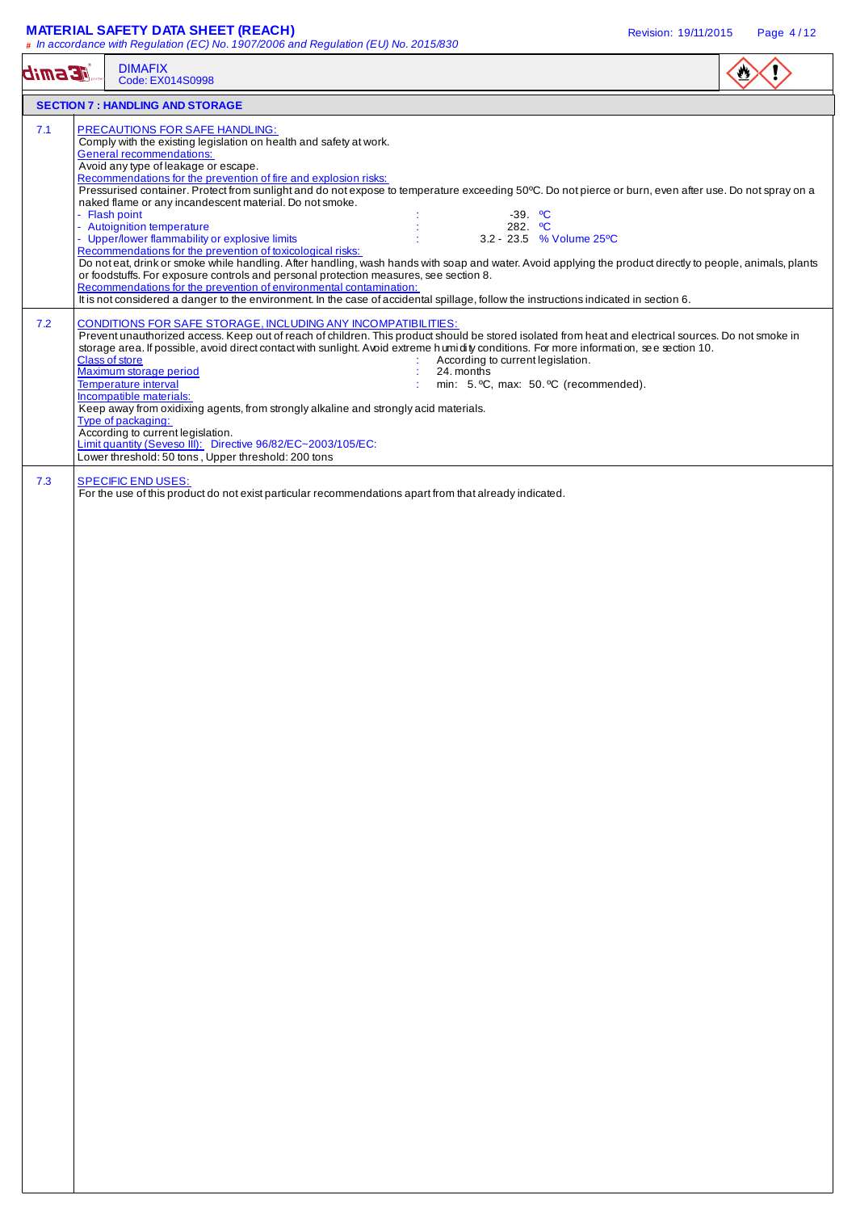### **MATERIAL SAFETY DATA SHEET (REACH)** Revision: 19/11/2015 Page 4 / 12

| <b>E Smib</b> | <b>DIMAFIX</b><br>Code: EX014S0998                                                                                                                                                                                                                                                                                                                                                                                                                                                                                                                                                                                                                                                                                                                                                                                                                                                                                                                                                                                                                                                                                                                                                                                                                                                                                                                                                                                                                                                                                                                                                                                                                 |  |
|---------------|----------------------------------------------------------------------------------------------------------------------------------------------------------------------------------------------------------------------------------------------------------------------------------------------------------------------------------------------------------------------------------------------------------------------------------------------------------------------------------------------------------------------------------------------------------------------------------------------------------------------------------------------------------------------------------------------------------------------------------------------------------------------------------------------------------------------------------------------------------------------------------------------------------------------------------------------------------------------------------------------------------------------------------------------------------------------------------------------------------------------------------------------------------------------------------------------------------------------------------------------------------------------------------------------------------------------------------------------------------------------------------------------------------------------------------------------------------------------------------------------------------------------------------------------------------------------------------------------------------------------------------------------------|--|
|               | <b>SECTION 7: HANDLING AND STORAGE</b>                                                                                                                                                                                                                                                                                                                                                                                                                                                                                                                                                                                                                                                                                                                                                                                                                                                                                                                                                                                                                                                                                                                                                                                                                                                                                                                                                                                                                                                                                                                                                                                                             |  |
| 7.1<br>7.2    | PRECAUTIONS FOR SAFE HANDLING:<br>Comply with the existing legislation on health and safety at work.<br><b>General recommendations:</b><br>Avoid any type of leakage or escape.<br>Recommendations for the prevention of fire and explosion risks:<br>Pressurised container. Protect from sunlight and do not expose to temperature exceeding 50°C. Do not pierce or burn, even after use. Do not spray on a<br>naked flame or any incandescent material. Do not smoke.<br>- Flash point<br>$-39.$ °C<br>- Autoignition temperature<br>282. $^{\circ}$ C<br>- Upper/lower flammability or explosive limits<br>3.2 - 23.5 % Volume 25°C<br>Recommendations for the prevention of toxicological risks:<br>Do noteat, drink or smoke while handling. After handling, wash hands with soap and water. Avoid applying the product directly to people, animals, plants<br>or foodstuffs. For exposure controls and personal protection measures, see section 8.<br>Recommendations for the prevention of environmental contamination:<br>It is not considered a danger to the environment. In the case of accidental spillage, follow the instructions indicated in section 6.<br>CONDITIONS FOR SAFE STORAGE, INCLUDING ANY INCOMPATIBILITIES:<br>Prevent unauthorized access. Keep out of reach of children. This product should be stored isolated from heat and electrical sources. Do not smoke in<br>storage area. If possible, avoid direct contact with sunlight. Avoid extreme humidity conditions. For more information, see section 10.<br><b>Class of store</b><br>According to current legislation.<br>Maximum storage period<br>24. months |  |
|               | Temperature interval<br>min: 5. °C, max: 50. °C (recommended).<br>Incompatible materials:<br>Keep away from oxidixing agents, from strongly alkaline and strongly acid materials.<br>Type of packaging:<br>According to current legislation.<br>Limit quantity (Seveso III): Directive 96/82/EC~2003/105/EC:<br>Lower threshold: 50 tons, Upper threshold: 200 tons                                                                                                                                                                                                                                                                                                                                                                                                                                                                                                                                                                                                                                                                                                                                                                                                                                                                                                                                                                                                                                                                                                                                                                                                                                                                                |  |
| 7.3           | <b>SPECIFIC END USES:</b><br>For the use of this product do not exist particular recommendations apart from that already indicated.                                                                                                                                                                                                                                                                                                                                                                                                                                                                                                                                                                                                                                                                                                                                                                                                                                                                                                                                                                                                                                                                                                                                                                                                                                                                                                                                                                                                                                                                                                                |  |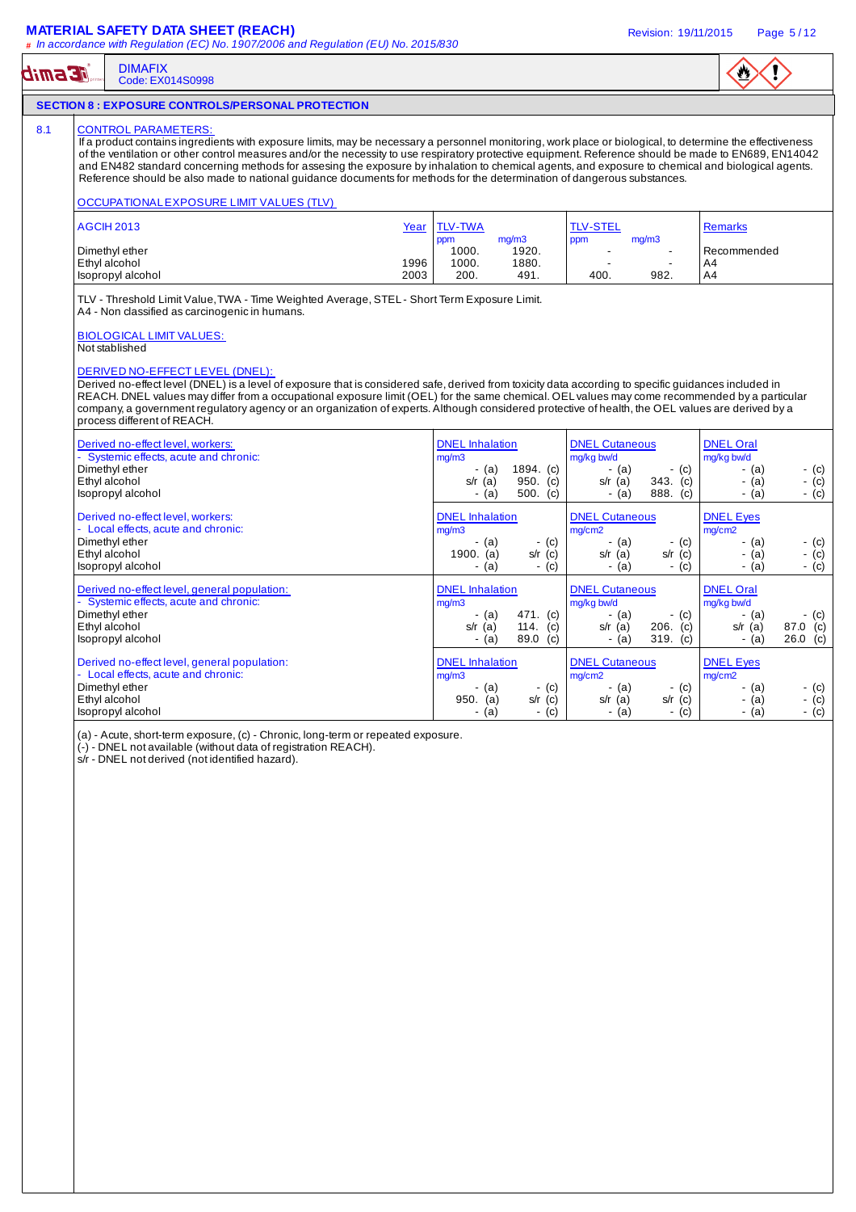### **MATERIAL SAFETY DATA SHEET (REACH)** And the state of the state of the revision: 19/11/2015 Page 5/12

#### DIMAFIX **TE Smib** Code: EX014S0998 **SECTION 8 : EXPOSURE CONTROLS/PERSONAL PROTECTION**  8.1 CONTROL PARAMETERS If a product contains ingredients with exposure limits, may be necessary a personnel monitoring, work place or biological, to determine the effectiveness of the ventilation or other control measures and/or the necessity to use respiratory protective equipment. Reference should be made to EN689, EN14042 and EN482 standard concerning methods for assesing the exposure by inhalation to chemical agents, and exposure to chemical and biological agents. Reference should be also made to national guidance documents for methods for the determination of dangerous substances. OCCUPATIONAL EXPOSURE LIMIT VALUES (TLV) AGCIH 2013 Year TLV-TWA TLV-STEL Remarks ppm mg/m3 ppm mg/m3<br>1000. 1920. -Dimethyl ether **1000.** The commended Christian Ethyl alcohol and the commended term in the commended of the commended term in the commended of the commended of the commended term in the commended of the commended of the co Ethyl alcohol 1996 1000. 1880. - - A4 Isopropyl alcohol 2003 200. 491. 400. 982. A4 TLV - Threshold Limit Value, TWA - Time Weighted Average, STEL - Short Term Exposure Limit. A4 - Non classified as carcinogenic in humans. BIOLOGICAL LIMIT VALUES: Not stablished DERIVED NO-EFFECT LEVEL (DNEL): Derived no-effect level (DNEL) is a level of exposure that is considered safe, derived from toxicity data according to specific guidances included in REACH. DNEL values may differ from a occupational exposure limit (OEL) for the same chemical. OEL values may come recommended by a particular company, a government regulatory agency or an organization of experts. Although considered protective of health, the OEL values are derived by a process different of REACH. Derived no-effect level, workers: Notified the South DNEL Inhalation DNEL Cutaneous DNEL Oral - Systemic effects, acute and chronic:<br>Dimethyl ether the contract of a mg/kg bw/d a mg/kg bw/d a mg/kg bw/d a mg/kg bw/d a mg/kg bw/d a mg/kg bw/d a Dimethyl ether - (a) 1894. (c) - (a) - (c) - (a) - (c) Ethyl alcohol s/r (a) 950. (c) s/r (a) 343. (c) - (a) - (c) Isopropyl alcohol - (a)  $\sim$  (a)  $\sim$  (a)  $\sim$  (a)  $\sim$  (a)  $\sim$  (a)  $\sim$  (a)  $\sim$  (c)  $\sim$  (c)  $\sim$  (c) Derived no-effect level, workers: DNEL Inhalation DNEL Cutaneous DNEL Eyes - Local effects, acute and chronic:<br>Dimethyl ether  $\boxed{\text{mg/mol}}$  - (a) - (c)  $\boxed{\text{mg/cm2}}$  - (a) - (c)  $\boxed{\text{mg/cm2}}$ Dimethyl ether - (a) - (c) - (a) - (c) - (a) - (c) Ethyl alcohol 1900. (a) s/r (c) s/r (a) s/r (c) - (a) - (c) Isopropyl alcohol - (c) - (a) - (c) - (a) - (c) - (c) - (a) - (c) - (a) - (c) - (c) - (c) - (c) - (c) - (c) - (c) - (c) - (c) - (c) - (c) - (c) - (c) - (c) - (c) - (c) - (c) - (c) - (c) - (c) - (c) - (c) - (c) - (c) - (c) Derived no-effect level, general population: <br>- Systemic effects, acute and chronic: <br>- Systemic effects, acute and chronic: <br>- DNEL Oral mg/m3 - Systemic effects, acute and chronic:<br>
Dimethyl ether (a) 471. (c) mg/kg bw/d mg/kg bw/d mg/kg bw/d mg/kg bw/d mg/kg bw/d mg/kg bw/d mg/kg bw/d mg/kg bw/d mg/kg bw/d mg/kg bw/d mg/kg bw/d mg/kg bw/d mg/kg bw/d mg/kg bw/d Dimethyl ether - (a) 471. (c) - (a) - (c) - (a) - (c) Ethyl alcohol s/r (a) 114. (c) s/r (a) 206. (c) s/r (a) 87.0 (c)  $\begin{bmatrix} \cos(2\theta) & \cos(2\theta) & \cos(2\theta) & \cos(2\theta) & \cos(2\theta) & \cos(2\theta) & \cos(2\theta) & \cos(2\theta) & \cos(2\theta) & \cos(2\theta) & \cos(2\theta) & \cos(2\theta) & \cos(2\theta) & \cos(2\theta) & \cos(2\theta) & \cos(2\theta) & \cos(2\theta) & \cos(2\theta) & \cos(2\theta) & \cos(2\theta) & \cos(2\theta) & \cos(2\theta) & \cos(2\theta) & \cos(2\theta) & \cos(2\theta) & \cos(2\theta) & \cos(2\theta$ Derived no-effect level, general population: DNEL Inhalation DNEL Cutaneous DNEL Eyes - Local effects, acute and chronic:<br>Dimethyl ether mg/m3 mg/cm2 mg/cm2 Dimethyl ether - (a) - (c) - (a) - (c) - (a) - (c) Ethyl alcohol 950. (a) s/r (c) s/r (a) s/r (c) - (a) - (c) Isopropyl alcohol - (c) - (a) - (c) - (a) - (c) - (a) - (c) - (a) - (c) - (a) - (c) (a) - Acute, short-term exposure, (c) - Chronic, long-term or repeated exposure. (-) - DNEL not available (without data of registration REACH). s/r - DNEL not derived (not identified hazard).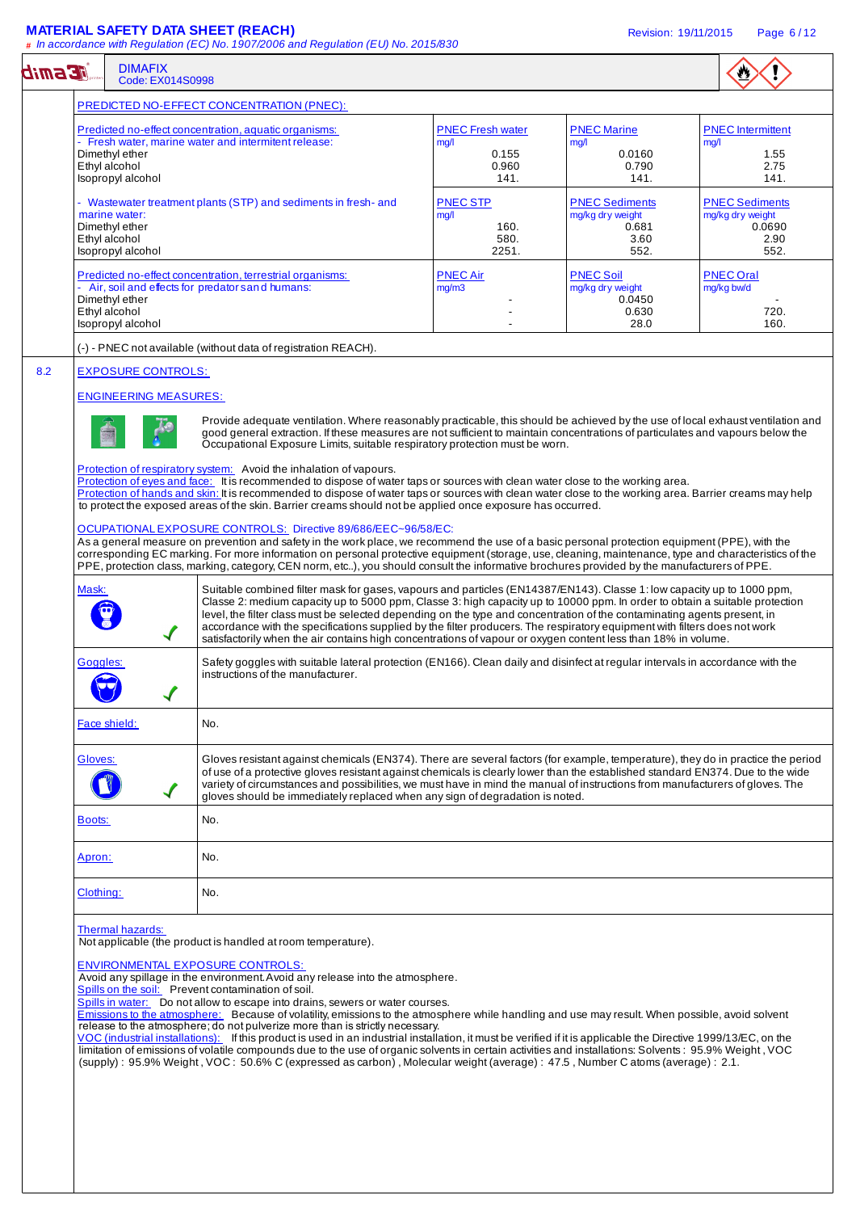### **MATERIAL SAFETY DATA SHEET (REACH)** Revision: 19/11/2015 Page 6 / 12

| <b>E smib</b>                                                                                                                                                                                                                                                                                                                                                                                                                                                                                                                                                                                                                                                                                                                                                                                                                                                                                                                                                                                                                                                                                                                                                                                                                                                                                                                                                                                                                                | <b>DIMAFIX</b><br>Code: EX014S0998                                                                 |                                                                                                                                                                                                                                                                                                                                                                                                                                                                                                                                                                                                                                                                                                                                                                                                                                                                                                                                                                                                                                |                                 |                                                         |                                                     |
|----------------------------------------------------------------------------------------------------------------------------------------------------------------------------------------------------------------------------------------------------------------------------------------------------------------------------------------------------------------------------------------------------------------------------------------------------------------------------------------------------------------------------------------------------------------------------------------------------------------------------------------------------------------------------------------------------------------------------------------------------------------------------------------------------------------------------------------------------------------------------------------------------------------------------------------------------------------------------------------------------------------------------------------------------------------------------------------------------------------------------------------------------------------------------------------------------------------------------------------------------------------------------------------------------------------------------------------------------------------------------------------------------------------------------------------------|----------------------------------------------------------------------------------------------------|--------------------------------------------------------------------------------------------------------------------------------------------------------------------------------------------------------------------------------------------------------------------------------------------------------------------------------------------------------------------------------------------------------------------------------------------------------------------------------------------------------------------------------------------------------------------------------------------------------------------------------------------------------------------------------------------------------------------------------------------------------------------------------------------------------------------------------------------------------------------------------------------------------------------------------------------------------------------------------------------------------------------------------|---------------------------------|---------------------------------------------------------|-----------------------------------------------------|
|                                                                                                                                                                                                                                                                                                                                                                                                                                                                                                                                                                                                                                                                                                                                                                                                                                                                                                                                                                                                                                                                                                                                                                                                                                                                                                                                                                                                                                              |                                                                                                    | PREDICTED NO-EFFECT CONCENTRATION (PNEC):                                                                                                                                                                                                                                                                                                                                                                                                                                                                                                                                                                                                                                                                                                                                                                                                                                                                                                                                                                                      |                                 |                                                         |                                                     |
|                                                                                                                                                                                                                                                                                                                                                                                                                                                                                                                                                                                                                                                                                                                                                                                                                                                                                                                                                                                                                                                                                                                                                                                                                                                                                                                                                                                                                                              |                                                                                                    | Predicted no-effect concentration, aquatic organisms:<br>- Fresh water, marine water and intermitent release:                                                                                                                                                                                                                                                                                                                                                                                                                                                                                                                                                                                                                                                                                                                                                                                                                                                                                                                  | <b>PNEC Fresh water</b><br>mg/l | <b>PNEC Marine</b><br>mg/l                              | <b>PNEC</b> Intermittent<br>mg/l                    |
|                                                                                                                                                                                                                                                                                                                                                                                                                                                                                                                                                                                                                                                                                                                                                                                                                                                                                                                                                                                                                                                                                                                                                                                                                                                                                                                                                                                                                                              | Dimethyl ether<br>Ethyl alcohol<br>Isopropyl alcohol                                               |                                                                                                                                                                                                                                                                                                                                                                                                                                                                                                                                                                                                                                                                                                                                                                                                                                                                                                                                                                                                                                | 0.155<br>0.960<br>141.          | 0.0160<br>0.790<br>141.                                 | 1.55<br>2.75<br>141.                                |
|                                                                                                                                                                                                                                                                                                                                                                                                                                                                                                                                                                                                                                                                                                                                                                                                                                                                                                                                                                                                                                                                                                                                                                                                                                                                                                                                                                                                                                              | - Wastewater treatment plants (STP) and sediments in fresh- and<br>marine water:<br>Dimethyl ether |                                                                                                                                                                                                                                                                                                                                                                                                                                                                                                                                                                                                                                                                                                                                                                                                                                                                                                                                                                                                                                | <b>PNEC STP</b><br>mg/l<br>160. | <b>PNEC Sediments</b><br>mg/kg dry weight<br>0.681      | <b>PNEC Sediments</b><br>mg/kg dry weight<br>0.0690 |
|                                                                                                                                                                                                                                                                                                                                                                                                                                                                                                                                                                                                                                                                                                                                                                                                                                                                                                                                                                                                                                                                                                                                                                                                                                                                                                                                                                                                                                              | Ethyl alcohol<br>Isopropyl alcohol                                                                 |                                                                                                                                                                                                                                                                                                                                                                                                                                                                                                                                                                                                                                                                                                                                                                                                                                                                                                                                                                                                                                | 580.<br>2251.                   | 3.60<br>552.                                            | 2.90<br>552.                                        |
|                                                                                                                                                                                                                                                                                                                                                                                                                                                                                                                                                                                                                                                                                                                                                                                                                                                                                                                                                                                                                                                                                                                                                                                                                                                                                                                                                                                                                                              | Dimethyl ether<br>Ethyl alcohol                                                                    | Predicted no-effect concentration, terrestrial organisms:<br>- Air, soil and effects for predator sand humans:                                                                                                                                                                                                                                                                                                                                                                                                                                                                                                                                                                                                                                                                                                                                                                                                                                                                                                                 | <b>PNEC Air</b><br>mg/m3        | <b>PNEC Soil</b><br>mg/kg dry weight<br>0.0450<br>0.630 | <b>PNEC Oral</b><br>mg/kg bw/d<br>720.              |
|                                                                                                                                                                                                                                                                                                                                                                                                                                                                                                                                                                                                                                                                                                                                                                                                                                                                                                                                                                                                                                                                                                                                                                                                                                                                                                                                                                                                                                              | Isopropyl alcohol                                                                                  | (-) - PNEC not available (without data of registration REACH).                                                                                                                                                                                                                                                                                                                                                                                                                                                                                                                                                                                                                                                                                                                                                                                                                                                                                                                                                                 |                                 | 28.0                                                    | 160.                                                |
| 8.2                                                                                                                                                                                                                                                                                                                                                                                                                                                                                                                                                                                                                                                                                                                                                                                                                                                                                                                                                                                                                                                                                                                                                                                                                                                                                                                                                                                                                                          | <b>EXPOSURE CONTROLS:</b><br><b>ENGINEERING MEASURES:</b>                                          | Provide adequate ventilation. Where reasonably practicable, this should be achieved by the use of local exhaust ventilation and<br>good general extraction. If these measures are not sufficient to maintain concentrations of particulates and vapours below the<br>Occupational Exposure Limits, suitable respiratory protection must be worn.<br>Protection of respiratory system: Avoid the inhalation of vapours.<br>Protection of eyes and face: It is recommended to dispose of water taps or sources with clean water close to the working area.                                                                                                                                                                                                                                                                                                                                                                                                                                                                       |                                 |                                                         |                                                     |
| Protection of hands and skin: It is recommended to dispose of water taps or sources with clean water close to the working area. Barrier creams may help<br>to protect the exposed areas of the skin. Barrier creams should not be applied once exposure has occurred.<br>OCUPATIONALEXPOSURE CONTROLS: Directive 89/686/EEC~96/58/EC:<br>As a general measure on prevention and safety in the work place, we recommend the use of a basic personal protection equipment (PPE), with the<br>corresponding EC marking. For more information on personal protective equipment (storage, use, cleaning, maintenance, type and characteristics of the<br>PPE, protection class, marking, category, CEN norm, etc), you should consult the informative brochures provided by the manufacturers of PPE.<br>Mask:<br>Suitable combined filter mask for gases, vapours and particles (EN14387/EN143). Classe 1: low capacity up to 1000 ppm,<br>Classe 2: medium capacity up to 5000 ppm, Classe 3: high capacity up to 10000 ppm. In order to obtain a suitable protection<br>level, the filter class must be selected depending on the type and concentration of the contaminating agents present, in<br>accordance with the specifications supplied by the filter producers. The respiratory equipment with filters does not work<br>satisfactorily when the air contains high concentrations of vapour or oxygen content less than 18% in volume. |                                                                                                    |                                                                                                                                                                                                                                                                                                                                                                                                                                                                                                                                                                                                                                                                                                                                                                                                                                                                                                                                                                                                                                |                                 |                                                         |                                                     |
|                                                                                                                                                                                                                                                                                                                                                                                                                                                                                                                                                                                                                                                                                                                                                                                                                                                                                                                                                                                                                                                                                                                                                                                                                                                                                                                                                                                                                                              | Goggles:                                                                                           | Safety goggles with suitable lateral protection (EN166). Clean daily and disinfect at regular intervals in accordance with the<br>instructions of the manufacturer.                                                                                                                                                                                                                                                                                                                                                                                                                                                                                                                                                                                                                                                                                                                                                                                                                                                            |                                 |                                                         |                                                     |
|                                                                                                                                                                                                                                                                                                                                                                                                                                                                                                                                                                                                                                                                                                                                                                                                                                                                                                                                                                                                                                                                                                                                                                                                                                                                                                                                                                                                                                              | Face shield:                                                                                       | No.                                                                                                                                                                                                                                                                                                                                                                                                                                                                                                                                                                                                                                                                                                                                                                                                                                                                                                                                                                                                                            |                                 |                                                         |                                                     |
|                                                                                                                                                                                                                                                                                                                                                                                                                                                                                                                                                                                                                                                                                                                                                                                                                                                                                                                                                                                                                                                                                                                                                                                                                                                                                                                                                                                                                                              | Gloves:                                                                                            | Gloves resistant against chemicals (EN374). There are several factors (for example, temperature), they do in practice the period<br>of use of a protective gloves resistant against chemicals is clearly lower than the established standard EN374. Due to the wide<br>variety of circumstances and possibilities, we must have in mind the manual of instructions from manufacturers of gloves. The<br>gloves should be immediately replaced when any sign of degradation is noted.                                                                                                                                                                                                                                                                                                                                                                                                                                                                                                                                           |                                 |                                                         |                                                     |
|                                                                                                                                                                                                                                                                                                                                                                                                                                                                                                                                                                                                                                                                                                                                                                                                                                                                                                                                                                                                                                                                                                                                                                                                                                                                                                                                                                                                                                              | <b>Boots:</b>                                                                                      | No.                                                                                                                                                                                                                                                                                                                                                                                                                                                                                                                                                                                                                                                                                                                                                                                                                                                                                                                                                                                                                            |                                 |                                                         |                                                     |
|                                                                                                                                                                                                                                                                                                                                                                                                                                                                                                                                                                                                                                                                                                                                                                                                                                                                                                                                                                                                                                                                                                                                                                                                                                                                                                                                                                                                                                              | Apron:                                                                                             | No.                                                                                                                                                                                                                                                                                                                                                                                                                                                                                                                                                                                                                                                                                                                                                                                                                                                                                                                                                                                                                            |                                 |                                                         |                                                     |
|                                                                                                                                                                                                                                                                                                                                                                                                                                                                                                                                                                                                                                                                                                                                                                                                                                                                                                                                                                                                                                                                                                                                                                                                                                                                                                                                                                                                                                              | Clothing:                                                                                          | No.                                                                                                                                                                                                                                                                                                                                                                                                                                                                                                                                                                                                                                                                                                                                                                                                                                                                                                                                                                                                                            |                                 |                                                         |                                                     |
|                                                                                                                                                                                                                                                                                                                                                                                                                                                                                                                                                                                                                                                                                                                                                                                                                                                                                                                                                                                                                                                                                                                                                                                                                                                                                                                                                                                                                                              | Thermal hazards:                                                                                   | Not applicable (the product is handled at room temperature).<br><b>ENVIRONMENTAL EXPOSURE CONTROLS:</b><br>Avoid any spillage in the environment. Avoid any release into the atmosphere.<br>Spills on the soil: Prevent contamination of soil.<br>Spills in water: Do not allow to escape into drains, sewers or water courses.<br>Emissions to the atmosphere: Because of volatility, emissions to the atmosphere while handling and use may result. When possible, avoid solvent<br>release to the atmosphere; do not pulverize more than is strictly necessary.<br>VOC (industrial installations): If this product is used in an industrial installation, it must be verified if it is applicable the Directive 1999/13/EC, on the<br>limitation of emissions of volatile compounds due to the use of organic solvents in certain activities and installations: Solvents: 95.9% Weight, VOC<br>(supply): 95.9% Weight, VOC: 50.6% C (expressed as carbon), Molecular weight (average): 47.5, Number C atoms (average): 2.1. |                                 |                                                         |                                                     |
|                                                                                                                                                                                                                                                                                                                                                                                                                                                                                                                                                                                                                                                                                                                                                                                                                                                                                                                                                                                                                                                                                                                                                                                                                                                                                                                                                                                                                                              |                                                                                                    |                                                                                                                                                                                                                                                                                                                                                                                                                                                                                                                                                                                                                                                                                                                                                                                                                                                                                                                                                                                                                                |                                 |                                                         |                                                     |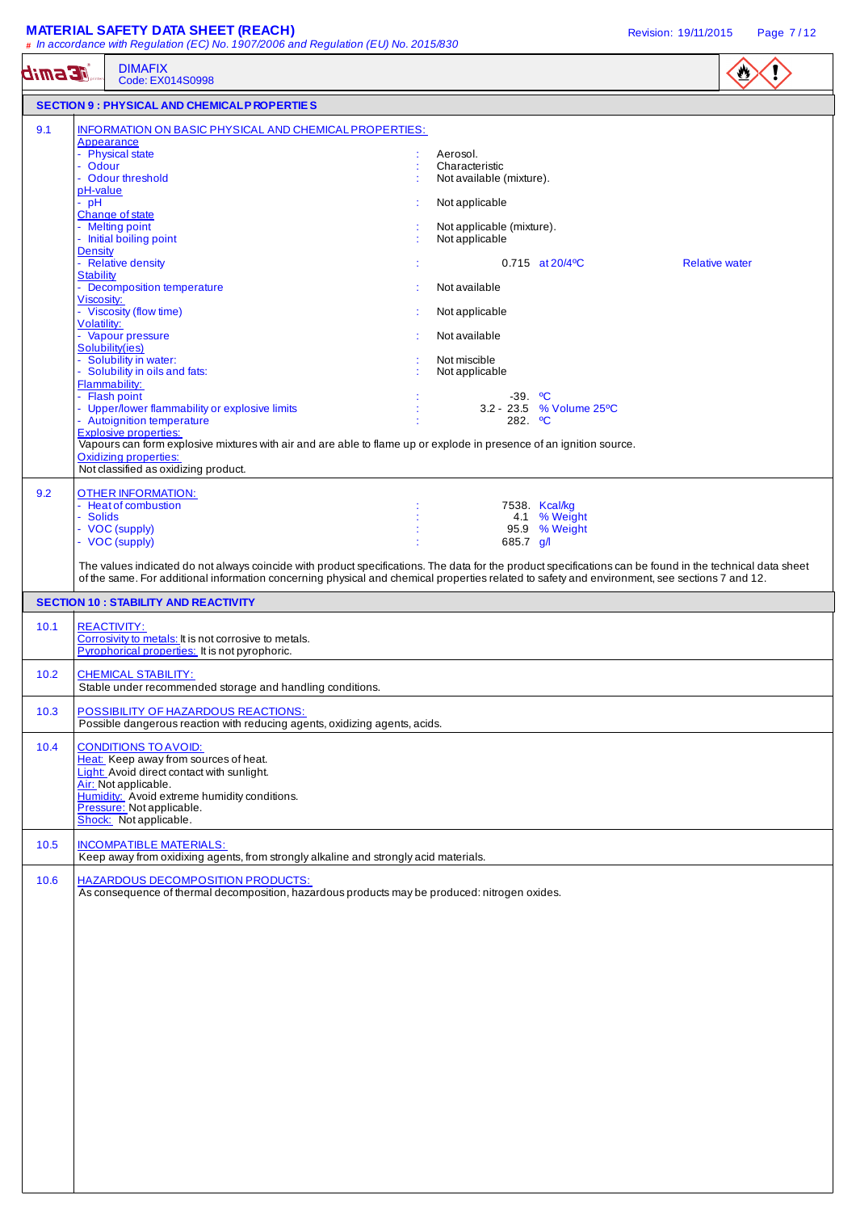# **MATERIAL SAFETY DATA SHEET (REACH) Revision: 19/11/2015** Page 7/12

|               | # In accordance with Regulation (EC) No. 1907/2006 and Regulation (EU) No. 2015/830                                                                                                                                                                                                                                                                                                                                                                                                                                                                                                                                                                                                                                                                                                  |                                                                                                                                                                                                                                                                                                                     |                       |
|---------------|--------------------------------------------------------------------------------------------------------------------------------------------------------------------------------------------------------------------------------------------------------------------------------------------------------------------------------------------------------------------------------------------------------------------------------------------------------------------------------------------------------------------------------------------------------------------------------------------------------------------------------------------------------------------------------------------------------------------------------------------------------------------------------------|---------------------------------------------------------------------------------------------------------------------------------------------------------------------------------------------------------------------------------------------------------------------------------------------------------------------|-----------------------|
| <b>EGERID</b> | <b>DIMAFIX</b><br>Code: EX014S0998                                                                                                                                                                                                                                                                                                                                                                                                                                                                                                                                                                                                                                                                                                                                                   |                                                                                                                                                                                                                                                                                                                     | ₩                     |
|               | <b>SECTION 9 : PHYSICAL AND CHEMICALP ROPERTIES</b>                                                                                                                                                                                                                                                                                                                                                                                                                                                                                                                                                                                                                                                                                                                                  |                                                                                                                                                                                                                                                                                                                     |                       |
| 9.1           | <b>INFORMATION ON BASIC PHYSICAL AND CHEMICAL PROPERTIES:</b><br>Appearance<br>- Physical state<br>- Odour<br>- Odour threshold<br>pH-value<br>$-$ pH<br>Change of state<br>- Melting point<br>- Initial boiling point<br><b>Density</b><br>- Relative density<br>Stability<br><b>Decomposition temperature</b><br>Viscosity:<br>- Viscosity (flow time)<br>Volatility:<br>- Vapour pressure<br>Solubility(ies)<br>- Solubility in water:<br>- Solubility in oils and fats:<br>Flammability:<br>- Flash point<br>- Upper/lower flammability or explosive limits<br>- Autoignition temperature<br><b>Explosive properties:</b><br>Vapours can form explosive mixtures with air and are able to flame up or explode in presence of an ignition source.<br><b>Oxidizing properties:</b> | Aerosol.<br>Characteristic<br>Not available (mixture).<br>Not applicable<br>Not applicable (mixture).<br>Not applicable<br>$0.715$ at $20/4$ <sup>o</sup> C<br>Not available<br>Not applicable<br>Not available<br>Not miscible<br>Not applicable<br>$-39.$ °C<br>3.2 - 23.5 % Volume 25°C<br>$282.$ <sup>o</sup> C | <b>Relative water</b> |
| 9.2           | Not classified as oxidizing product.<br>OTHER INFORMATION:<br>- Heat of combustion<br><b>Solids</b><br>- VOC (supply)<br>- VOC (supply)<br>The values indicated do not always coincide with product specifications. The data for the product specifications can be found in the technical data sheet<br>of the same. For additional information concerning physical and chemical properties related to safety and environment, see sections 7 and 12.                                                                                                                                                                                                                                                                                                                                | 7538. Kcal/kg<br>4.1 % Weight<br>95.9 % Weight<br>685.7 $g/l$                                                                                                                                                                                                                                                       |                       |
|               | <b>SECTION 10: STABILITY AND REACTIVITY</b>                                                                                                                                                                                                                                                                                                                                                                                                                                                                                                                                                                                                                                                                                                                                          |                                                                                                                                                                                                                                                                                                                     |                       |
| 10.1          | <b>REACTIVITY:</b><br>Corrosivity to metals: It is not corrosive to metals.<br>Pyrophorical properties: It is not pyrophoric.                                                                                                                                                                                                                                                                                                                                                                                                                                                                                                                                                                                                                                                        |                                                                                                                                                                                                                                                                                                                     |                       |
| 10.2          | <b>CHEMICAL STABILITY:</b><br>Stable under recommended storage and handling conditions.                                                                                                                                                                                                                                                                                                                                                                                                                                                                                                                                                                                                                                                                                              |                                                                                                                                                                                                                                                                                                                     |                       |
| 10.3          | POSSIBILITY OF HAZARDOUS REACTIONS:<br>Possible dangerous reaction with reducing agents, oxidizing agents, acids.                                                                                                                                                                                                                                                                                                                                                                                                                                                                                                                                                                                                                                                                    |                                                                                                                                                                                                                                                                                                                     |                       |
| 10.4          | <b>CONDITIONS TO AVOID:</b><br>Heat: Keep away from sources of heat.<br>Light: Avoid direct contact with sunlight.<br>Air: Not applicable.<br>Humidity: Avoid extreme humidity conditions.<br>Pressure: Not applicable.<br>Shock: Not applicable.                                                                                                                                                                                                                                                                                                                                                                                                                                                                                                                                    |                                                                                                                                                                                                                                                                                                                     |                       |
| 10.5          | <b>INCOMPATIBLE MATERIALS:</b><br>Keep away from oxidixing agents, from strongly alkaline and strongly acid materials.                                                                                                                                                                                                                                                                                                                                                                                                                                                                                                                                                                                                                                                               |                                                                                                                                                                                                                                                                                                                     |                       |
| 10.6          | <b>HAZARDOUS DECOMPOSITION PRODUCTS:</b><br>As consequence of thermal decomposition, hazardous products may be produced: nitrogen oxides.                                                                                                                                                                                                                                                                                                                                                                                                                                                                                                                                                                                                                                            |                                                                                                                                                                                                                                                                                                                     |                       |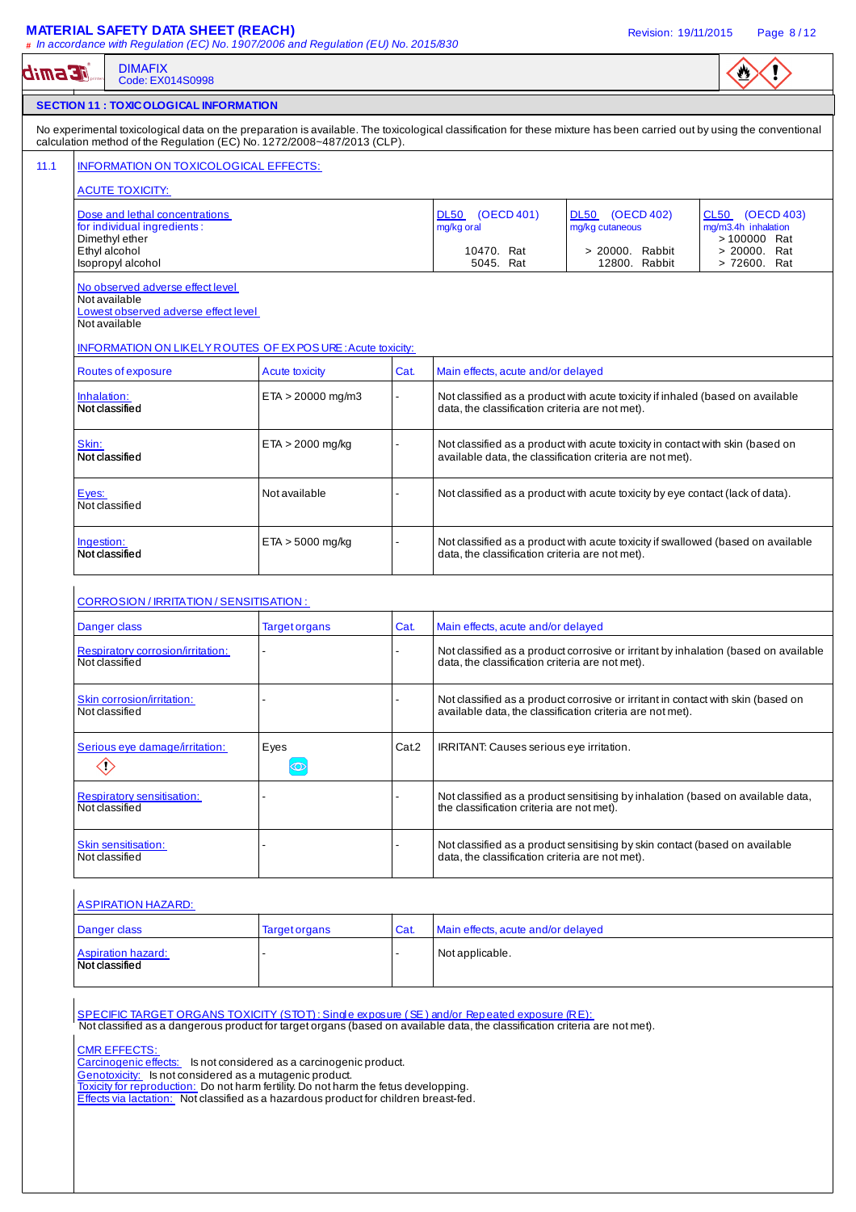### **MATERIAL SAFETY DATA SHEET (REACH)** Revision: 19/11/2015 Page 8 / 12

| <b>DIMAFIX</b><br><b>Æsmit</b><br>Code: EX014S0998                                                                                                                                                                                               |                                                                                      |       |                                                 |                                                                                     |                              |
|--------------------------------------------------------------------------------------------------------------------------------------------------------------------------------------------------------------------------------------------------|--------------------------------------------------------------------------------------|-------|-------------------------------------------------|-------------------------------------------------------------------------------------|------------------------------|
| <b>SECTION 11 : TOXIC OLOGICAL INFORMATION</b>                                                                                                                                                                                                   |                                                                                      |       |                                                 |                                                                                     |                              |
| No experimental toxicological data on the preparation is available. The toxicological classification for these mixture has been carried out by using the conventional<br>calculation method of the Regulation (EC) No. 1272/2008~487/2013 (CLP). |                                                                                      |       |                                                 |                                                                                     |                              |
| INFORMATION ON TOXICOLOGICAL EFFECTS:                                                                                                                                                                                                            |                                                                                      |       |                                                 |                                                                                     |                              |
| <b>ACUTE TOXICITY:</b>                                                                                                                                                                                                                           |                                                                                      |       |                                                 |                                                                                     |                              |
| Dose and lethal concentrations                                                                                                                                                                                                                   |                                                                                      |       | DL50 (OECD 401)                                 | DL50 (OECD 402)                                                                     | CL50 (OECD 403)              |
| for individual ingredients:                                                                                                                                                                                                                      |                                                                                      |       | mg/kg oral                                      | mg/kg cutaneous                                                                     | mg/m3.4h inhalation          |
| Dimethyl ether<br>Ethyl alcohol                                                                                                                                                                                                                  |                                                                                      |       | 10470. Rat                                      | > 20000. Rabbit                                                                     | > 100000 Rat<br>> 20000. Rat |
| Isopropyl alcohol                                                                                                                                                                                                                                |                                                                                      |       | 5045. Rat                                       | 12800. Rabbit                                                                       | > 72600. Rat                 |
| No observed adverse effect level<br>Not available                                                                                                                                                                                                |                                                                                      |       |                                                 |                                                                                     |                              |
| Lowest observed adverse effect level<br>Not available                                                                                                                                                                                            |                                                                                      |       |                                                 |                                                                                     |                              |
| <b>INFORMATION ON LIKELY ROUTES OF EX POSURE: Acute toxicity:</b>                                                                                                                                                                                |                                                                                      |       |                                                 |                                                                                     |                              |
| Routes of exposure<br><b>Acute toxicity</b><br>Cat.<br>Main effects, acute and/or delayed                                                                                                                                                        |                                                                                      |       |                                                 |                                                                                     |                              |
| Inhalation:                                                                                                                                                                                                                                      | $ETA > 20000$ mg/m3                                                                  |       |                                                 | Not classified as a product with acute toxicity if inhaled (based on available      |                              |
| Not classified                                                                                                                                                                                                                                   |                                                                                      |       | data, the classification criteria are not met). |                                                                                     |                              |
| Skin:                                                                                                                                                                                                                                            | $ETA > 2000$ mg/kg                                                                   |       |                                                 | Not classified as a product with acute toxicity in contact with skin (based on      |                              |
| Not classified                                                                                                                                                                                                                                   |                                                                                      |       |                                                 | available data, the classification criteria are not met).                           |                              |
| Not available<br>Not classified as a product with acute toxicity by eye contact (lack of data).<br>Eyes:                                                                                                                                         |                                                                                      |       |                                                 |                                                                                     |                              |
| Not classified                                                                                                                                                                                                                                   |                                                                                      |       |                                                 |                                                                                     |                              |
| $ETA > 5000$ mg/kg<br>Not classified as a product with acute toxicity if swallowed (based on available<br>Ingestion:                                                                                                                             |                                                                                      |       |                                                 |                                                                                     |                              |
| Not classified<br>data, the classification criteria are not met).                                                                                                                                                                                |                                                                                      |       |                                                 |                                                                                     |                              |
| CORROSION / IRRITATION / SENSITISATION :<br>Danger class                                                                                                                                                                                         | <b>Target organs</b>                                                                 | Cat.  | Main effects, acute and/or delayed              |                                                                                     |                              |
| Respiratory corrosion/irritation:                                                                                                                                                                                                                |                                                                                      |       |                                                 | Not classified as a product corrosive or irritant by inhalation (based on available |                              |
| Not classified                                                                                                                                                                                                                                   |                                                                                      |       | data, the classification criteria are not met). |                                                                                     |                              |
| Skin corrosion/irritation:                                                                                                                                                                                                                       |                                                                                      |       |                                                 | Not classified as a product corrosive or irritant in contact with skin (based on    |                              |
| Not classified                                                                                                                                                                                                                                   |                                                                                      |       |                                                 | available data, the classification criteria are not met).                           |                              |
| Serious eye damage/irritation:                                                                                                                                                                                                                   | Eyes                                                                                 | Cat.2 | IRRITANT: Causes serious eye irritation.        |                                                                                     |                              |
| $\diamondsuit$                                                                                                                                                                                                                                   | $\circledcirc$                                                                       |       |                                                 |                                                                                     |                              |
| <b>Respiratory sensitisation:</b>                                                                                                                                                                                                                |                                                                                      |       |                                                 | Not classified as a product sensitising by inhalation (based on available data,     |                              |
| Not classified                                                                                                                                                                                                                                   |                                                                                      |       | the classification criteria are not met).       |                                                                                     |                              |
| Skin sensitisation:                                                                                                                                                                                                                              |                                                                                      |       |                                                 | Not classified as a product sensitising by skin contact (based on available         |                              |
| Not classified                                                                                                                                                                                                                                   |                                                                                      |       | data, the classification criteria are not met). |                                                                                     |                              |
|                                                                                                                                                                                                                                                  |                                                                                      |       |                                                 |                                                                                     |                              |
| <b>ASPIRATION HAZARD:</b>                                                                                                                                                                                                                        |                                                                                      |       |                                                 |                                                                                     |                              |
| Danger class                                                                                                                                                                                                                                     | <b>Target organs</b>                                                                 | Cat.  | Main effects, acute and/or delayed              |                                                                                     |                              |
| <b>Aspiration hazard:</b><br>Not classified                                                                                                                                                                                                      |                                                                                      |       | Not applicable.                                 |                                                                                     |                              |
|                                                                                                                                                                                                                                                  |                                                                                      |       |                                                 |                                                                                     |                              |
| SPECIFIC TARGET ORGANS TOXICITY (STOT): Single exposure (SE) and/or Repeated exposure (RE):                                                                                                                                                      |                                                                                      |       |                                                 |                                                                                     |                              |
| Not classified as a dangerous product for target organs (based on available data, the classification criteria are not met).                                                                                                                      |                                                                                      |       |                                                 |                                                                                     |                              |
| <b>CMR EFFECTS:</b>                                                                                                                                                                                                                              |                                                                                      |       |                                                 |                                                                                     |                              |
| Carcinogenic effects: Is not considered as a carcinogenic product.<br>Genotoxicity: Is not considered as a mutagenic product.                                                                                                                    |                                                                                      |       |                                                 |                                                                                     |                              |
|                                                                                                                                                                                                                                                  | Toxicity for reproduction: Do not harm fertility. Do not harm the fetus developping. |       |                                                 |                                                                                     |                              |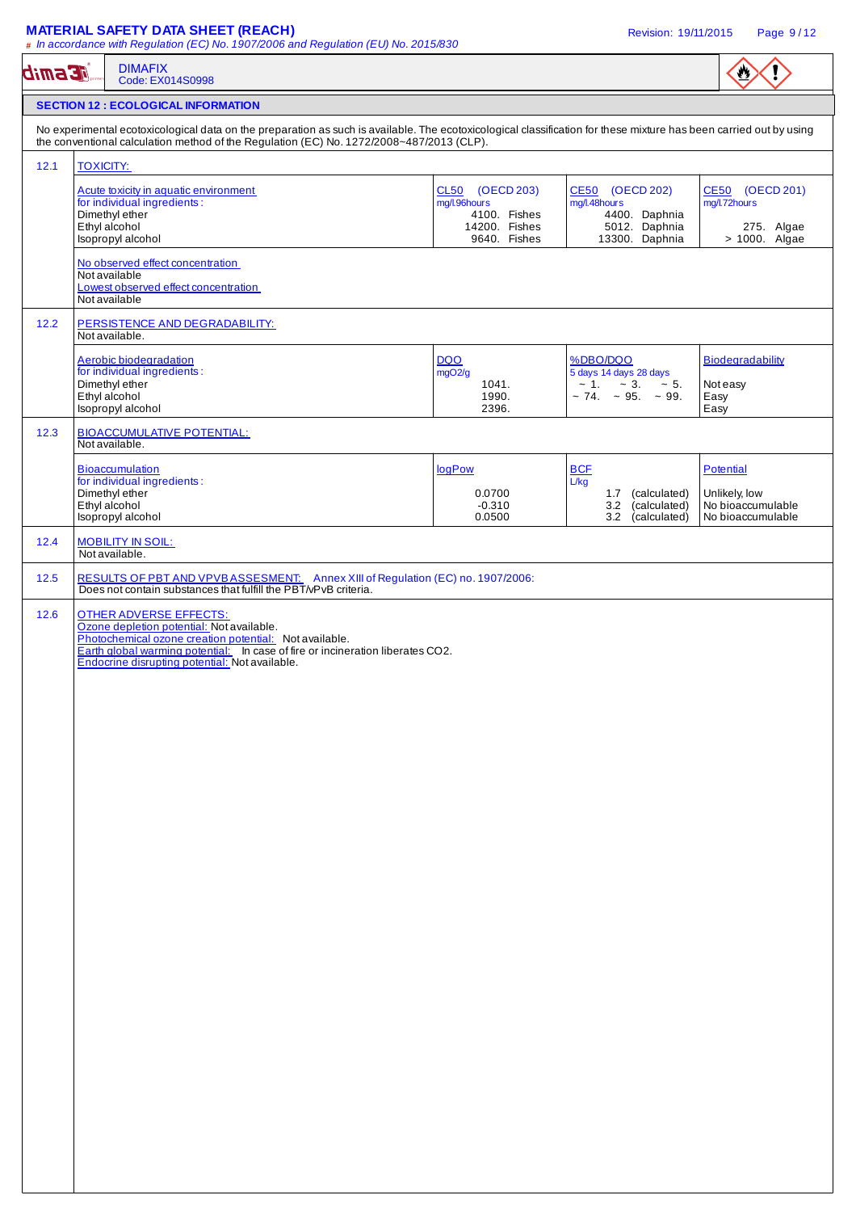## **MATERIAL SAFETY DATA SHEET (REACH) Revision: 19/11/2015** Page 9/12

|      | <b>DIMAFIX</b><br>Code: EX014S0998                                                                                                                                 |                               |                                                     | ₩                                      |  |  |  |
|------|--------------------------------------------------------------------------------------------------------------------------------------------------------------------|-------------------------------|-----------------------------------------------------|----------------------------------------|--|--|--|
|      | <b>SECTION 12 : ECOLOGICAL INFORMATION</b>                                                                                                                         |                               |                                                     |                                        |  |  |  |
|      | No experimental ecotoxicological data on the preparation as such is available. The ecotoxicological classification for these mixture has been carried out by using |                               |                                                     |                                        |  |  |  |
| 12.1 | the conventional calculation method of the Regulation (EC) No. 1272/2008~487/2013 (CLP).<br><b>TOXICITY:</b>                                                       |                               |                                                     |                                        |  |  |  |
|      | Acute toxicity in aquatic environment                                                                                                                              | CL50 (OECD 203)               | CE50 (OECD 202)                                     | CE50 (OECD 201)                        |  |  |  |
|      | for individual ingredients:<br>Dimethyl ether                                                                                                                      | mg/l.96hours<br>4100. Fishes  | mg/l.48hours<br>4400. Daphnia                       | mg/l.72hours                           |  |  |  |
|      | Ethyl alcohol<br>Isopropyl alcohol                                                                                                                                 | 14200. Fishes<br>9640. Fishes | 5012. Daphnia<br>13300. Daphnia                     | 275. Algae<br>> 1000. Algae            |  |  |  |
|      | No observed effect concentration                                                                                                                                   |                               |                                                     |                                        |  |  |  |
|      | Not available<br>Lowest observed effect concentration                                                                                                              |                               |                                                     |                                        |  |  |  |
|      | Not available                                                                                                                                                      |                               |                                                     |                                        |  |  |  |
| 12.2 | PERSISTENCE AND DEGRADABILITY:<br>Not available.                                                                                                                   |                               |                                                     |                                        |  |  |  |
|      | Aerobic biodegradation                                                                                                                                             | <b>DQO</b>                    | %DBO/DQO                                            | Biodegradability                       |  |  |  |
|      | for individual ingredients:<br>Dimethyl ether                                                                                                                      | mgO2/g<br>1041.               | 5 days 14 days 28 days<br>$\sim 1. \sim 3. \sim 5.$ | Not easy                               |  |  |  |
|      | Ethyl alcohol<br>Isopropyl alcohol                                                                                                                                 | 1990.<br>2396.                | $\sim$ 74. $\sim$ 95. $\sim$ 99.                    | Easy<br>Easy                           |  |  |  |
| 12.3 | <b>BIOACCUMULATIVE POTENTIAL:</b><br>Not available.                                                                                                                |                               |                                                     |                                        |  |  |  |
|      | <b>Bioaccumulation</b>                                                                                                                                             | logPow                        | <b>BCF</b>                                          | <b>Potential</b>                       |  |  |  |
|      | for individual ingredients:<br>Dimethyl ether                                                                                                                      | 0.0700                        | L/kg<br>1.7 (calculated)                            | Unlikely, low                          |  |  |  |
|      | Ethyl alcohol<br>Isopropyl alcohol                                                                                                                                 | $-0.310$<br>0.0500            | 3.2 (calculated)<br>3.2 (calculated)                | No bioaccumulable<br>No bioaccumulable |  |  |  |
| 12.4 | <b>MOBILITY IN SOIL:</b><br>Not available.                                                                                                                         |                               |                                                     |                                        |  |  |  |
| 12.5 | RESULTS OF PBT AND VPVBASSESMENT: Annex XIII of Regulation (EC) no. 1907/2006:<br>Does not contain substances that fulfill the PBT/vPvB criteria.                  |                               |                                                     |                                        |  |  |  |
|      | Earth global warming potential: In case of fire or incineration liberates CO2.<br>Endocrine disrupting potential: Not available.                                   |                               |                                                     |                                        |  |  |  |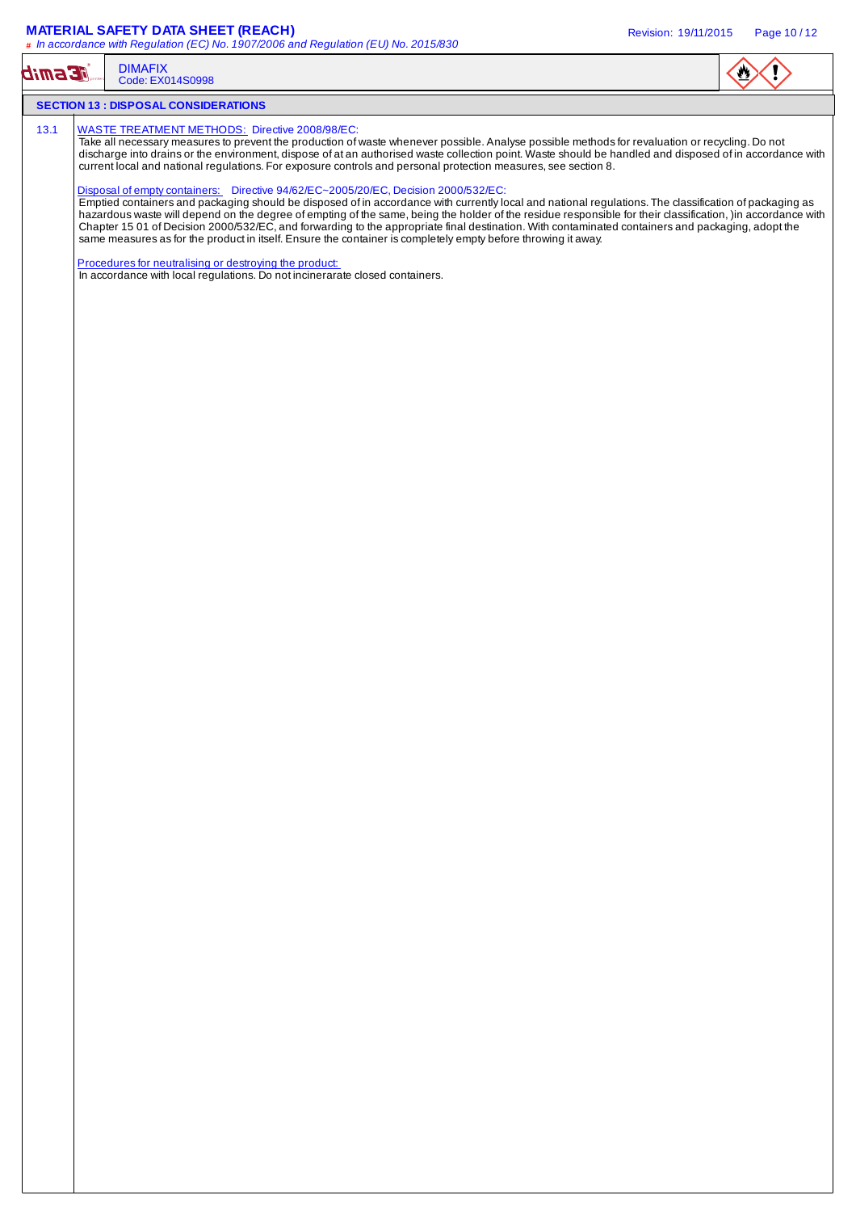### **MATERIAL SAFETY DATA SHEET (REACH)** Revision: 19/11/2015 Page 10 / 12

| <b>Esmib</b> | <b>DIMAFIX</b><br>Code: EX014S0998                                                                                                                                                                                                                                                                                                                                                                                                                                                                                                                                                                                                                    |  |
|--------------|-------------------------------------------------------------------------------------------------------------------------------------------------------------------------------------------------------------------------------------------------------------------------------------------------------------------------------------------------------------------------------------------------------------------------------------------------------------------------------------------------------------------------------------------------------------------------------------------------------------------------------------------------------|--|
|              | <b>SECTION 13 : DISPOSAL CONSIDERATIONS</b>                                                                                                                                                                                                                                                                                                                                                                                                                                                                                                                                                                                                           |  |
| 13.1         | <b>WASTE TREATMENT METHODS:</b> Directive 2008/98/EC:<br>Take all necessary measures to prevent the production of waste whenever possible. Analyse possible methods for revaluation or recycling. Do not<br>discharge into drains or the environment, dispose of at an authorised waste collection point. Waste should be handled and disposed of in accordance with<br>current local and national regulations. For exposure controls and personal protection measures, see section 8.<br>Disposal of empty containers: Directive 94/62/EC~2005/20/EC, Decision 2000/532/EC:                                                                          |  |
|              | Emptied containers and packaging should be disposed of in accordance with currently local and national regulations. The classification of packaging as<br>hazardous waste will depend on the degree of empting of the same, being the holder of the residue responsible for their classification, )in accordance with<br>Chapter 15 01 of Decision 2000/532/EC, and forwarding to the appropriate final destination. With contaminated containers and packaging, adopt the<br>same measures as for the product in itself. Ensure the container is completely empty before throwing it away.<br>Procedures for neutralising or destroying the product: |  |
|              | In accordance with local regulations. Do not incinerarate closed containers.                                                                                                                                                                                                                                                                                                                                                                                                                                                                                                                                                                          |  |
|              |                                                                                                                                                                                                                                                                                                                                                                                                                                                                                                                                                                                                                                                       |  |
|              |                                                                                                                                                                                                                                                                                                                                                                                                                                                                                                                                                                                                                                                       |  |
|              |                                                                                                                                                                                                                                                                                                                                                                                                                                                                                                                                                                                                                                                       |  |
|              |                                                                                                                                                                                                                                                                                                                                                                                                                                                                                                                                                                                                                                                       |  |
|              |                                                                                                                                                                                                                                                                                                                                                                                                                                                                                                                                                                                                                                                       |  |
|              |                                                                                                                                                                                                                                                                                                                                                                                                                                                                                                                                                                                                                                                       |  |
|              |                                                                                                                                                                                                                                                                                                                                                                                                                                                                                                                                                                                                                                                       |  |
|              |                                                                                                                                                                                                                                                                                                                                                                                                                                                                                                                                                                                                                                                       |  |
|              |                                                                                                                                                                                                                                                                                                                                                                                                                                                                                                                                                                                                                                                       |  |
|              |                                                                                                                                                                                                                                                                                                                                                                                                                                                                                                                                                                                                                                                       |  |
|              |                                                                                                                                                                                                                                                                                                                                                                                                                                                                                                                                                                                                                                                       |  |
|              |                                                                                                                                                                                                                                                                                                                                                                                                                                                                                                                                                                                                                                                       |  |
|              |                                                                                                                                                                                                                                                                                                                                                                                                                                                                                                                                                                                                                                                       |  |
|              |                                                                                                                                                                                                                                                                                                                                                                                                                                                                                                                                                                                                                                                       |  |
|              |                                                                                                                                                                                                                                                                                                                                                                                                                                                                                                                                                                                                                                                       |  |
|              |                                                                                                                                                                                                                                                                                                                                                                                                                                                                                                                                                                                                                                                       |  |
|              |                                                                                                                                                                                                                                                                                                                                                                                                                                                                                                                                                                                                                                                       |  |
|              |                                                                                                                                                                                                                                                                                                                                                                                                                                                                                                                                                                                                                                                       |  |
|              |                                                                                                                                                                                                                                                                                                                                                                                                                                                                                                                                                                                                                                                       |  |
|              |                                                                                                                                                                                                                                                                                                                                                                                                                                                                                                                                                                                                                                                       |  |
|              |                                                                                                                                                                                                                                                                                                                                                                                                                                                                                                                                                                                                                                                       |  |
|              |                                                                                                                                                                                                                                                                                                                                                                                                                                                                                                                                                                                                                                                       |  |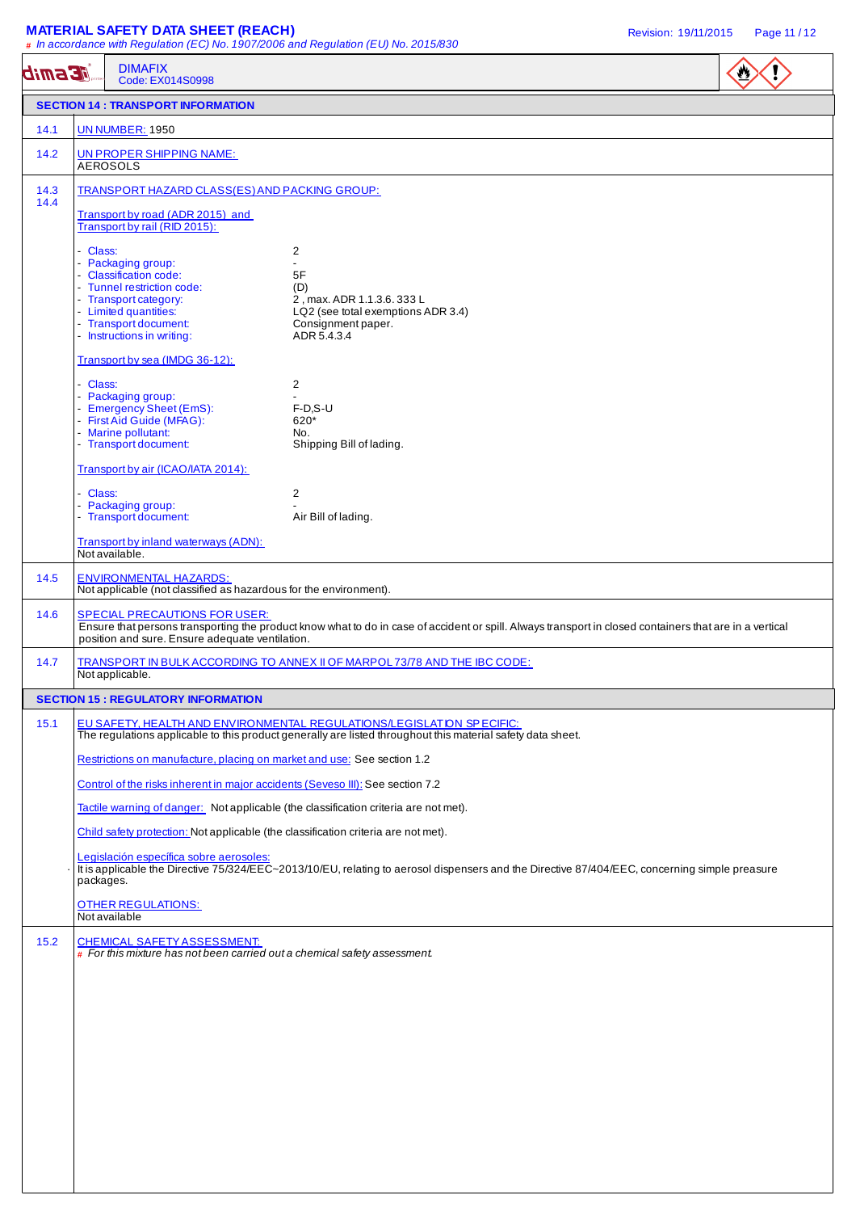## **MATERIAL SAFETY DATA SHEET (REACH) Revision: 19/11/2015** Page 11/12

|              | <b>DIMAFIX</b><br><b>EESMiD</b><br>Code: EX014S0998                                                |                                                                                                                                                                                      | $\bullet$ |
|--------------|----------------------------------------------------------------------------------------------------|--------------------------------------------------------------------------------------------------------------------------------------------------------------------------------------|-----------|
|              | <b>SECTION 14 : TRANSPORT INFORMATION</b>                                                          |                                                                                                                                                                                      |           |
| 14.1         | <b>UN NUMBER: 1950</b>                                                                             |                                                                                                                                                                                      |           |
| 14.2         | UN PROPER SHIPPING NAME:<br><b>AEROSOLS</b>                                                        |                                                                                                                                                                                      |           |
| 14.3<br>14.4 | TRANSPORT HAZARD CLASS(ES) AND PACKING GROUP:                                                      |                                                                                                                                                                                      |           |
|              | Transport by road (ADR 2015) and<br>Transport by rail (RID 2015):                                  |                                                                                                                                                                                      |           |
|              | - Class:                                                                                           | 2                                                                                                                                                                                    |           |
|              | - Packaging group:<br>- Classification code:                                                       | $\overline{\phantom{a}}$<br>5F                                                                                                                                                       |           |
|              | - Tunnel restriction code:                                                                         | (D)                                                                                                                                                                                  |           |
|              | - Transport category:<br>- Limited quantities:                                                     | 2, max. ADR 1.1.3.6. 333 L<br>LQ2 (see total exemptions ADR 3.4)                                                                                                                     |           |
|              | - Transport document:<br>- Instructions in writing:                                                | Consignment paper.<br>ADR 5.4.3.4                                                                                                                                                    |           |
|              |                                                                                                    |                                                                                                                                                                                      |           |
|              | Transport by sea (IMDG 36-12):                                                                     |                                                                                                                                                                                      |           |
|              | - Class:                                                                                           | 2                                                                                                                                                                                    |           |
|              | - Packaging group:<br>- Emergency Sheet (EmS):                                                     | $F-D.S-U$                                                                                                                                                                            |           |
|              | - First Aid Guide (MFAG):                                                                          | 620*                                                                                                                                                                                 |           |
|              | - Marine pollutant:<br>- Transport document:                                                       | No.<br>Shipping Bill of lading.                                                                                                                                                      |           |
|              | Transport by air (ICAO/IATA 2014):                                                                 |                                                                                                                                                                                      |           |
|              |                                                                                                    |                                                                                                                                                                                      |           |
|              | - Class:<br>- Packaging group:                                                                     | 2                                                                                                                                                                                    |           |
|              | - Transport document:<br>Transport by inland waterways (ADN):                                      | Air Bill of lading.                                                                                                                                                                  |           |
|              | Not available.                                                                                     |                                                                                                                                                                                      |           |
| 14.5         | <b>ENVIRONMENTAL HAZARDS:</b><br>Not applicable (not classified as hazardous for the environment). |                                                                                                                                                                                      |           |
| 14.6         | <b>SPECIAL PRECAUTIONS FOR USER:</b><br>position and sure. Ensure adequate ventilation.            | Ensure that persons transporting the product know what to do in case of accident or spill. Always transport in closed containers that are in a vertical                              |           |
| 14.7         | Not applicable.                                                                                    | TRANSPORT IN BULK ACCORDING TO ANNEX II OF MARPOL 73/78 AND THE IBC CODE:                                                                                                            |           |
|              | <b>SECTION 15 : REGULATORY INFORMATION</b>                                                         |                                                                                                                                                                                      |           |
| 15.1         |                                                                                                    | EU SAFETY, HEALTH AND ENVIRONMENTAL REGULATIONS/LEGISLATION SPECIFIC:<br>The regulations applicable to this product generally are listed throughout this material safety data sheet. |           |
|              | Restrictions on manufacture, placing on market and use: See section 1.2                            |                                                                                                                                                                                      |           |
|              | Control of the risks inherent in major accidents (Seveso III): See section 7.2                     |                                                                                                                                                                                      |           |
|              |                                                                                                    | Tactile warning of danger: Not applicable (the classification criteria are not met).                                                                                                 |           |
|              | Child safety protection: Not applicable (the classification criteria are not met).                 |                                                                                                                                                                                      |           |
|              | Legislación específica sobre aerosoles:<br>packages.                                               | It is applicable the Directive 75/324/EEC~2013/10/EU, relating to aerosol dispensers and the Directive 87/404/EEC, concerning simple preasure                                        |           |
|              | <b>OTHER REGULATIONS:</b><br>Not available                                                         |                                                                                                                                                                                      |           |
| 15.2         | <b>CHEMICAL SAFETY ASSESSMENT:</b>                                                                 |                                                                                                                                                                                      |           |
|              | $\#$ For this mixture has not been carried out a chemical safety assessment.                       |                                                                                                                                                                                      |           |
|              |                                                                                                    |                                                                                                                                                                                      |           |
|              |                                                                                                    |                                                                                                                                                                                      |           |
|              |                                                                                                    |                                                                                                                                                                                      |           |
|              |                                                                                                    |                                                                                                                                                                                      |           |
|              |                                                                                                    |                                                                                                                                                                                      |           |
|              |                                                                                                    |                                                                                                                                                                                      |           |
|              |                                                                                                    |                                                                                                                                                                                      |           |
|              |                                                                                                    |                                                                                                                                                                                      |           |
|              |                                                                                                    |                                                                                                                                                                                      |           |
|              |                                                                                                    |                                                                                                                                                                                      |           |